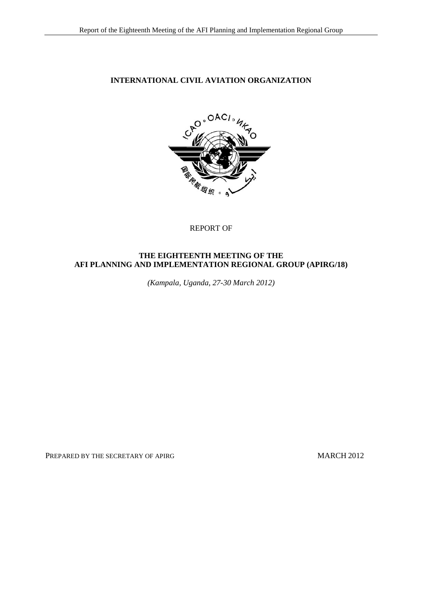### **INTERNATIONAL CIVIL AVIATION ORGANIZATION**



#### REPORT OF

### **THE EIGHTEENTH MEETING OF THE AFI PLANNING AND IMPLEMENTATION REGIONAL GROUP (APIRG/18)**

*(Kampala, Uganda, 27-30 March 2012)*

PREPARED BY THE SECRETARY OF APIRG MARCH 2012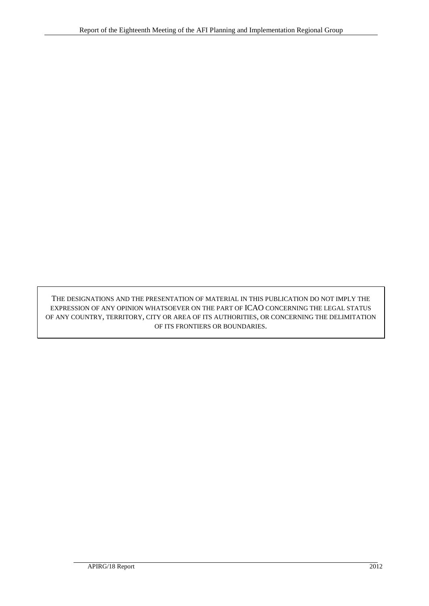THE DESIGNATIONS AND THE PRESENTATION OF MATERIAL IN THIS PUBLICATION DO NOT IMPLY THE EXPRESSION OF ANY OPINION WHATSOEVER ON THE PART OF ICAO CONCERNING THE LEGAL STATUS OF ANY COUNTRY, TERRITORY, CITY OR AREA OF ITS AUTHORITIES, OR CONCERNING THE DELIMITATION OF ITS FRONTIERS OR BOUNDARIES.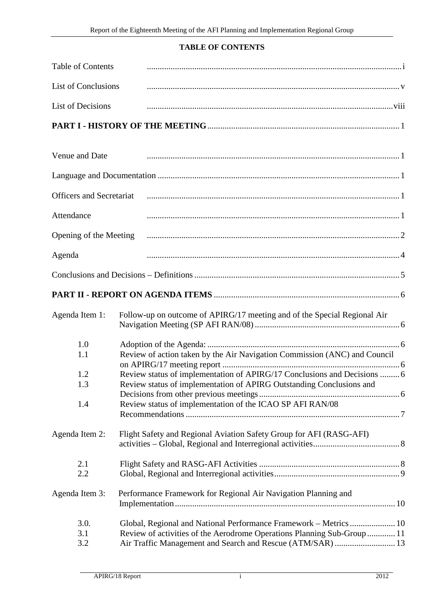# **TABLE OF CONTENTS**

<span id="page-2-0"></span>

| <b>Table of Contents</b>        |                                                                           |
|---------------------------------|---------------------------------------------------------------------------|
| <b>List of Conclusions</b>      |                                                                           |
| <b>List of Decisions</b>        |                                                                           |
|                                 |                                                                           |
| Venue and Date                  |                                                                           |
|                                 |                                                                           |
| <b>Officers and Secretariat</b> |                                                                           |
| Attendance                      |                                                                           |
| Opening of the Meeting          |                                                                           |
| Agenda                          |                                                                           |
|                                 |                                                                           |
|                                 |                                                                           |
| Agenda Item 1:                  | Follow-up on outcome of APIRG/17 meeting and of the Special Regional Air  |
| 1.0                             |                                                                           |
| 1.1                             | Review of action taken by the Air Navigation Commission (ANC) and Council |
| 1.2                             | Review status of implementation of APIRG/17 Conclusions and Decisions  6  |
| 1.3                             | Review status of implementation of APIRG Outstanding Conclusions and      |
|                                 |                                                                           |
| 1.4                             | Review status of implementation of the ICAO SP AFI RAN/08                 |
| Agenda Item 2:                  | Flight Safety and Regional Aviation Safety Group for AFI (RASG-AFI)       |
| 2.1                             |                                                                           |
| 2.2                             |                                                                           |
| Agenda Item 3:                  | Performance Framework for Regional Air Navigation Planning and            |
| 3.0.                            | Global, Regional and National Performance Framework - Metrics  10         |
| 3.1                             | Review of activities of the Aerodrome Operations Planning Sub-Group  11   |
| 3.2                             | Air Traffic Management and Search and Rescue (ATM/SAR)  13                |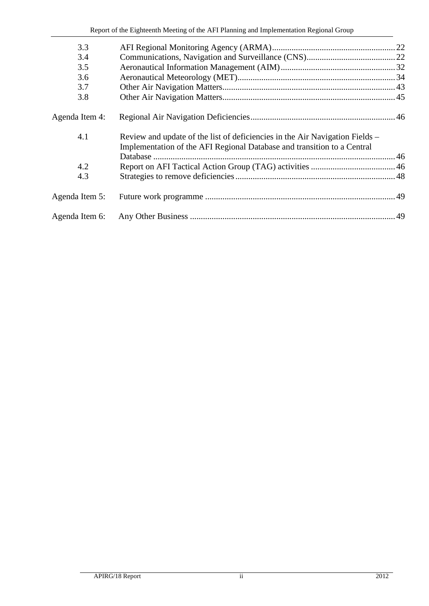| 3.3            |                                                                                                                                                         |  |
|----------------|---------------------------------------------------------------------------------------------------------------------------------------------------------|--|
| 3.4            |                                                                                                                                                         |  |
| 3.5            |                                                                                                                                                         |  |
| 3.6            |                                                                                                                                                         |  |
| 3.7            |                                                                                                                                                         |  |
| 3.8            |                                                                                                                                                         |  |
| Agenda Item 4: |                                                                                                                                                         |  |
| 4.1            | Review and update of the list of deficiencies in the Air Navigation Fields –<br>Implementation of the AFI Regional Database and transition to a Central |  |
|                |                                                                                                                                                         |  |
| 4.2            |                                                                                                                                                         |  |
| 4.3            |                                                                                                                                                         |  |
| Agenda Item 5: |                                                                                                                                                         |  |
| Agenda Item 6: |                                                                                                                                                         |  |
|                |                                                                                                                                                         |  |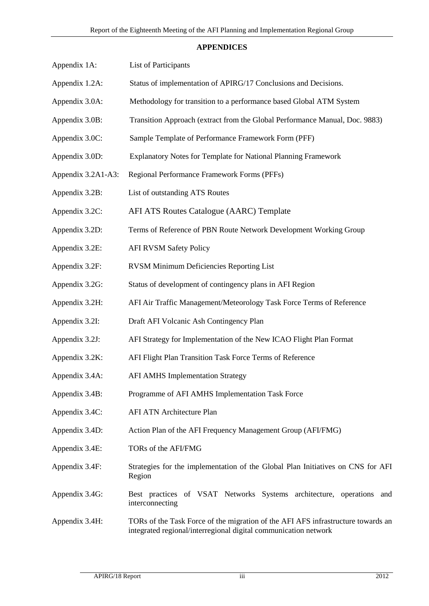### **APPENDICES**

| Appendix 1A:       | List of Participants                                                                                                                                |
|--------------------|-----------------------------------------------------------------------------------------------------------------------------------------------------|
| Appendix 1.2A:     | Status of implementation of APIRG/17 Conclusions and Decisions.                                                                                     |
| Appendix 3.0A:     | Methodology for transition to a performance based Global ATM System                                                                                 |
| Appendix 3.0B:     | Transition Approach (extract from the Global Performance Manual, Doc. 9883)                                                                         |
| Appendix 3.0C:     | Sample Template of Performance Framework Form (PFF)                                                                                                 |
| Appendix 3.0D:     | Explanatory Notes for Template for National Planning Framework                                                                                      |
| Appendix 3.2A1-A3: | Regional Performance Framework Forms (PFFs)                                                                                                         |
| Appendix 3.2B:     | List of outstanding ATS Routes                                                                                                                      |
| Appendix 3.2C:     | AFI ATS Routes Catalogue (AARC) Template                                                                                                            |
| Appendix 3.2D:     | Terms of Reference of PBN Route Network Development Working Group                                                                                   |
| Appendix 3.2E:     | <b>AFI RVSM Safety Policy</b>                                                                                                                       |
| Appendix 3.2F:     | <b>RVSM Minimum Deficiencies Reporting List</b>                                                                                                     |
| Appendix 3.2G:     | Status of development of contingency plans in AFI Region                                                                                            |
| Appendix 3.2H:     | AFI Air Traffic Management/Meteorology Task Force Terms of Reference                                                                                |
| Appendix 3.2I:     | Draft AFI Volcanic Ash Contingency Plan                                                                                                             |
| Appendix 3.2J:     | AFI Strategy for Implementation of the New ICAO Flight Plan Format                                                                                  |
| Appendix 3.2K:     | AFI Flight Plan Transition Task Force Terms of Reference                                                                                            |
| Appendix 3.4A:     | <b>AFI AMHS Implementation Strategy</b>                                                                                                             |
| Appendix 3.4B:     | Programme of AFI AMHS Implementation Task Force                                                                                                     |
| Appendix 3.4C:     | AFI ATN Architecture Plan                                                                                                                           |
| Appendix 3.4D:     | Action Plan of the AFI Frequency Management Group (AFI/FMG)                                                                                         |
| Appendix 3.4E:     | TORs of the AFI/FMG                                                                                                                                 |
| Appendix 3.4F:     | Strategies for the implementation of the Global Plan Initiatives on CNS for AFI<br>Region                                                           |
| Appendix 3.4G:     | Best practices of VSAT Networks Systems architecture, operations and<br>interconnecting                                                             |
| Appendix 3.4H:     | TORs of the Task Force of the migration of the AFI AFS infrastructure towards an<br>integrated regional/interregional digital communication network |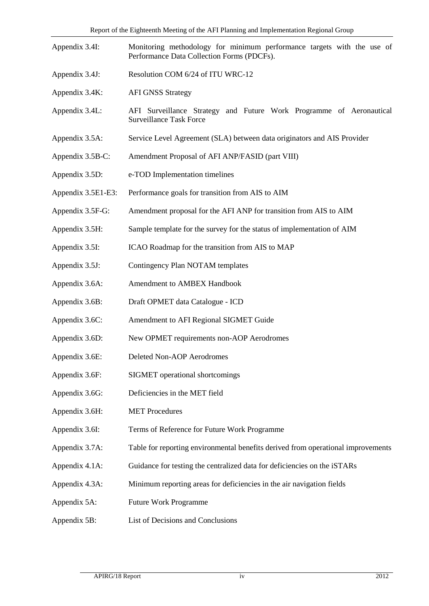| Appendix 3.4I:     | Monitoring methodology for minimum performance targets with the use of<br>Performance Data Collection Forms (PDCFs). |  |  |
|--------------------|----------------------------------------------------------------------------------------------------------------------|--|--|
| Appendix 3.4J:     | Resolution COM 6/24 of ITU WRC-12                                                                                    |  |  |
| Appendix 3.4K:     | <b>AFI GNSS Strategy</b>                                                                                             |  |  |
| Appendix 3.4L:     | AFI Surveillance Strategy and Future Work Programme of Aeronautical<br><b>Surveillance Task Force</b>                |  |  |
| Appendix 3.5A:     | Service Level Agreement (SLA) between data originators and AIS Provider                                              |  |  |
| Appendix 3.5B-C:   | Amendment Proposal of AFI ANP/FASID (part VIII)                                                                      |  |  |
| Appendix 3.5D:     | e-TOD Implementation timelines                                                                                       |  |  |
| Appendix 3.5E1-E3: | Performance goals for transition from AIS to AIM                                                                     |  |  |
| Appendix 3.5F-G:   | Amendment proposal for the AFI ANP for transition from AIS to AIM                                                    |  |  |
| Appendix 3.5H:     | Sample template for the survey for the status of implementation of AIM                                               |  |  |
| Appendix 3.5I:     | ICAO Roadmap for the transition from AIS to MAP                                                                      |  |  |
| Appendix 3.5J:     | Contingency Plan NOTAM templates                                                                                     |  |  |
| Appendix 3.6A:     | Amendment to AMBEX Handbook                                                                                          |  |  |
| Appendix 3.6B:     | Draft OPMET data Catalogue - ICD                                                                                     |  |  |
| Appendix 3.6C:     | Amendment to AFI Regional SIGMET Guide                                                                               |  |  |
| Appendix 3.6D:     | New OPMET requirements non-AOP Aerodromes                                                                            |  |  |
| Appendix 3.6E:     | Deleted Non-AOP Aerodromes                                                                                           |  |  |
| Appendix 3.6F:     | SIGMET operational shortcomings                                                                                      |  |  |
| Appendix 3.6G:     | Deficiencies in the MET field                                                                                        |  |  |
| Appendix 3.6H:     | <b>MET Procedures</b>                                                                                                |  |  |
| Appendix 3.6I:     | Terms of Reference for Future Work Programme                                                                         |  |  |
| Appendix 3.7A:     | Table for reporting environmental benefits derived from operational improvements                                     |  |  |
| Appendix 4.1A:     | Guidance for testing the centralized data for deficiencies on the iSTARs                                             |  |  |
| Appendix 4.3A:     | Minimum reporting areas for deficiencies in the air navigation fields                                                |  |  |
| Appendix 5A:       | <b>Future Work Programme</b>                                                                                         |  |  |
| Appendix 5B:       | List of Decisions and Conclusions                                                                                    |  |  |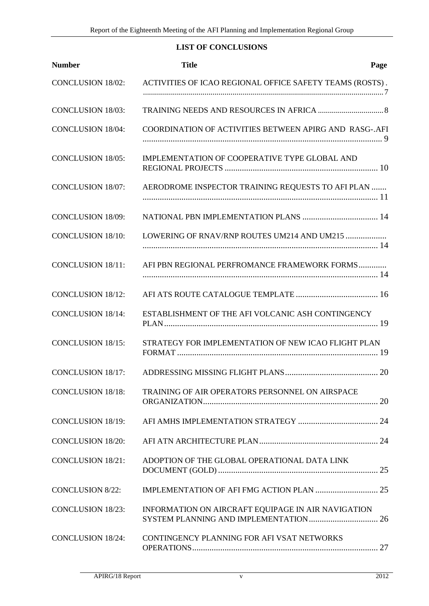# **LIST OF CONCLUSIONS**

<span id="page-6-0"></span>

| <b>Number</b>            | <b>Title</b>                                             | Page |
|--------------------------|----------------------------------------------------------|------|
| <b>CONCLUSION 18/02:</b> | ACTIVITIES OF ICAO REGIONAL OFFICE SAFETY TEAMS (ROSTS). |      |
| <b>CONCLUSION 18/03:</b> |                                                          |      |
| <b>CONCLUSION 18/04:</b> | COORDINATION OF ACTIVITIES BETWEEN APIRG AND RASG-.AFI   |      |
| <b>CONCLUSION 18/05:</b> | IMPLEMENTATION OF COOPERATIVE TYPE GLOBAL AND            |      |
| <b>CONCLUSION 18/07:</b> | AERODROME INSPECTOR TRAINING REQUESTS TO AFI PLAN        |      |
| <b>CONCLUSION 18/09:</b> |                                                          |      |
| <b>CONCLUSION 18/10:</b> | LOWERING OF RNAV/RNP ROUTES UM214 AND UM215              |      |
| <b>CONCLUSION 18/11:</b> | AFI PBN REGIONAL PERFROMANCE FRAMEWORK FORMS             |      |
| <b>CONCLUSION 18/12:</b> |                                                          |      |
| <b>CONCLUSION 18/14:</b> | ESTABLISHMENT OF THE AFI VOLCANIC ASH CONTINGENCY        |      |
| <b>CONCLUSION 18/15:</b> | STRATEGY FOR IMPLEMENTATION OF NEW ICAO FLIGHT PLAN      |      |
| <b>CONCLUSION 18/17:</b> |                                                          |      |
| <b>CONCLUSION 18/18:</b> | TRAINING OF AIR OPERATORS PERSONNEL ON AIRSPACE          |      |
| <b>CONCLUSION 18/19:</b> |                                                          |      |
| <b>CONCLUSION 18/20:</b> |                                                          |      |
| <b>CONCLUSION 18/21:</b> | ADOPTION OF THE GLOBAL OPERATIONAL DATA LINK             |      |
| <b>CONCLUSION 8/22:</b>  |                                                          |      |
| <b>CONCLUSION 18/23:</b> | INFORMATION ON AIRCRAFT EQUIPAGE IN AIR NAVIGATION       |      |
| <b>CONCLUSION 18/24:</b> | CONTINGENCY PLANNING FOR AFI VSAT NETWORKS               |      |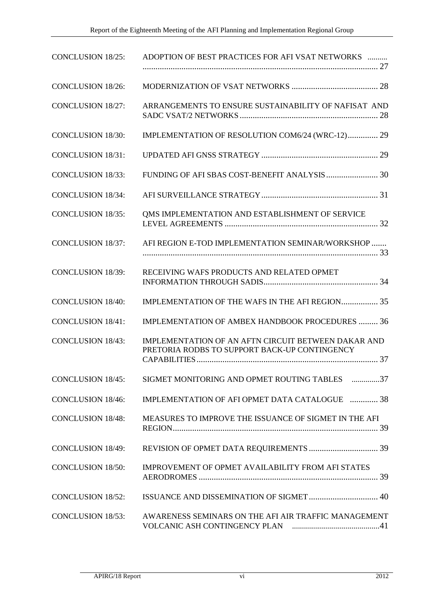| <b>CONCLUSION 18/25:</b> | ADOPTION OF BEST PRACTICES FOR AFI VSAT NETWORKS                                                            |
|--------------------------|-------------------------------------------------------------------------------------------------------------|
| <b>CONCLUSION 18/26:</b> |                                                                                                             |
| <b>CONCLUSION 18/27:</b> | ARRANGEMENTS TO ENSURE SUSTAINABILITY OF NAFISAT AND                                                        |
| <b>CONCLUSION 18/30:</b> | IMPLEMENTATION OF RESOLUTION COM6/24 (WRC-12) 29                                                            |
| <b>CONCLUSION 18/31:</b> |                                                                                                             |
| <b>CONCLUSION 18/33:</b> |                                                                                                             |
| <b>CONCLUSION 18/34:</b> |                                                                                                             |
| <b>CONCLUSION 18/35:</b> | QMS IMPLEMENTATION AND ESTABLISHMENT OF SERVICE                                                             |
| <b>CONCLUSION 18/37:</b> | AFI REGION E-TOD IMPLEMENTATION SEMINAR/WORKSHOP                                                            |
| <b>CONCLUSION 18/39:</b> | RECEIVING WAFS PRODUCTS AND RELATED OPMET                                                                   |
| <b>CONCLUSION 18/40:</b> | IMPLEMENTATION OF THE WAFS IN THE AFI REGION 35                                                             |
| <b>CONCLUSION 18/41:</b> | <b>IMPLEMENTATION OF AMBEX HANDBOOK PROCEDURES  36</b>                                                      |
| <b>CONCLUSION 18/43:</b> | <b>IMPLEMENTATION OF AN AFTN CIRCUIT BETWEEN DAKAR AND</b><br>PRETORIA RODBS TO SUPPORT BACK-UP CONTINGENCY |
| <b>CONCLUSION 18/45:</b> | SIGMET MONITORING AND OPMET ROUTING TABLES 37                                                               |
| <b>CONCLUSION 18/46:</b> | IMPLEMENTATION OF AFI OPMET DATA CATALOGUE  38                                                              |
| <b>CONCLUSION 18/48:</b> | MEASURES TO IMPROVE THE ISSUANCE OF SIGMET IN THE AFI                                                       |
| <b>CONCLUSION 18/49:</b> |                                                                                                             |
| <b>CONCLUSION 18/50:</b> | <b>IMPROVEMENT OF OPMET AVAILABILITY FROM AFI STATES</b>                                                    |
| <b>CONCLUSION 18/52:</b> |                                                                                                             |
| <b>CONCLUSION 18/53:</b> | AWARENESS SEMINARS ON THE AFI AIR TRAFFIC MANAGEMENT                                                        |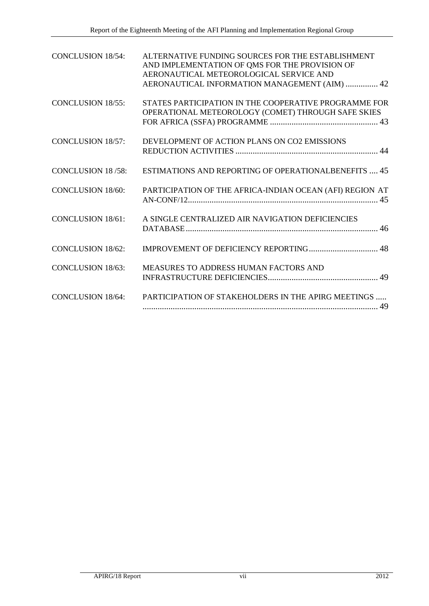| <b>CONCLUSION 18/54:</b> | ALTERNATIVE FUNDING SOURCES FOR THE ESTABLISHMENT<br>AND IMPLEMENTATION OF QMS FOR THE PROVISION OF<br>AERONAUTICAL METEOROLOGICAL SERVICE AND<br>AERONAUTICAL INFORMATION MANAGEMENT (AIM)  42 |
|--------------------------|-------------------------------------------------------------------------------------------------------------------------------------------------------------------------------------------------|
| <b>CONCLUSION 18/55:</b> | STATES PARTICIPATION IN THE COOPERATIVE PROGRAMME FOR<br>OPERATIONAL METEOROLOGY (COMET) THROUGH SAFE SKIES                                                                                     |
| <b>CONCLUSION 18/57:</b> | DEVELOPMENT OF ACTION PLANS ON CO2 EMISSIONS                                                                                                                                                    |
| <b>CONCLUSION 18/58:</b> | <b>ESTIMATIONS AND REPORTING OF OPERATIONALBENEFITS  45</b>                                                                                                                                     |
| <b>CONCLUSION 18/60:</b> | PARTICIPATION OF THE AFRICA-INDIAN OCEAN (AFI) REGION AT                                                                                                                                        |
| <b>CONCLUSION 18/61:</b> | A SINGLE CENTRALIZED AIR NAVIGATION DEFICIENCIES                                                                                                                                                |
| <b>CONCLUSION 18/62:</b> | IMPROVEMENT OF DEFICIENCY REPORTING 48                                                                                                                                                          |
| <b>CONCLUSION 18/63:</b> | MEASURES TO ADDRESS HUMAN FACTORS AND                                                                                                                                                           |
| <b>CONCLUSION 18/64:</b> | PARTICIPATION OF STAKEHOLDERS IN THE APIRG MEETINGS                                                                                                                                             |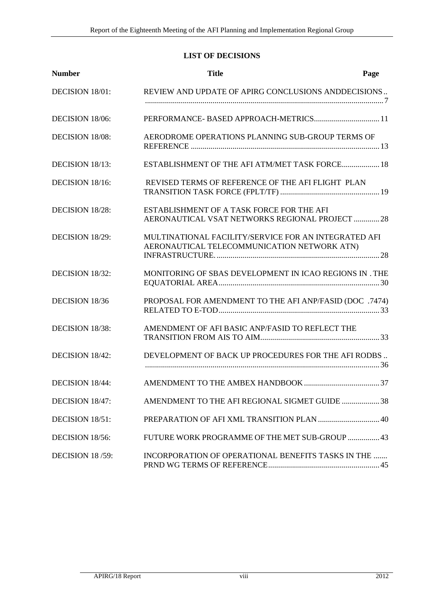# **LIST OF DECISIONS**

<span id="page-9-0"></span>

| <b>Number</b>   | <b>Title</b>                                                                                        | Page |
|-----------------|-----------------------------------------------------------------------------------------------------|------|
| DECISION 18/01: | REVIEW AND UPDATE OF APIRG CONCLUSIONS ANDDECISIONS                                                 |      |
| DECISION 18/06: |                                                                                                     |      |
| DECISION 18/08: | AERODROME OPERATIONS PLANNING SUB-GROUP TERMS OF                                                    |      |
| DECISION 18/13: | ESTABLISHMENT OF THE AFI ATM/MET TASK FORCE 18                                                      |      |
| DECISION 18/16: | REVISED TERMS OF REFERENCE OF THE AFI FLIGHT PLAN                                                   |      |
| DECISION 18/28: | ESTABLISHMENT OF A TASK FORCE FOR THE AFI<br>AERONAUTICAL VSAT NETWORKS REGIONAL PROJECT  28        |      |
| DECISION 18/29: | MULTINATIONAL FACILITY/SERVICE FOR AN INTEGRATED AFI<br>AERONAUTICAL TELECOMMUNICATION NETWORK ATN) |      |
| DECISION 18/32: | MONITORING OF SBAS DEVELOPMENT IN ICAO REGIONS IN . THE                                             |      |
| DECISION 18/36  | PROPOSAL FOR AMENDMENT TO THE AFI ANP/FASID (DOC .7474)                                             |      |
| DECISION 18/38: | AMENDMENT OF AFI BASIC ANP/FASID TO REFLECT THE                                                     |      |
| DECISION 18/42: | DEVELOPMENT OF BACK UP PROCEDURES FOR THE AFI RODBS                                                 |      |
| DECISION 18/44: |                                                                                                     |      |
| DECISION 18/47: | AMENDMENT TO THE AFI REGIONAL SIGMET GUIDE  38                                                      |      |
| DECISION 18/51: |                                                                                                     |      |
| DECISION 18/56: | FUTURE WORK PROGRAMME OF THE MET SUB-GROUP  43                                                      |      |
| DECISION 18/59: | INCORPORATION OF OPERATIONAL BENEFITS TASKS IN THE                                                  |      |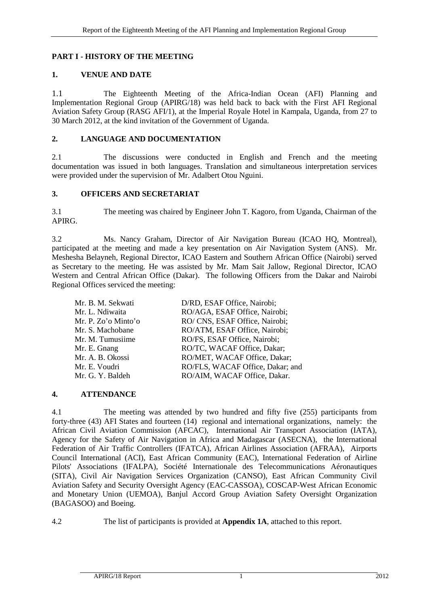# <span id="page-10-0"></span>**PART I - HISTORY OF THE MEETING**

# <span id="page-10-1"></span>**1. VENUE AND DATE**

1.1 The Eighteenth Meeting of the Africa-Indian Ocean (AFI) Planning and Implementation Regional Group (APIRG/18) was held back to back with the First AFI Regional Aviation Safety Group (RASG AFI/1), at the Imperial Royale Hotel in Kampala, Uganda, from 27 to 30 March 2012, at the kind invitation of the Government of Uganda.

# <span id="page-10-2"></span>**2. LANGUAGE AND DOCUMENTATION**

2.1 The discussions were conducted in English and French and the meeting documentation was issued in both languages. Translation and simultaneous interpretation services were provided under the supervision of Mr. Adalbert Otou Nguini.

# <span id="page-10-3"></span>**3. OFFICERS AND SECRETARIAT**

3.1 The meeting was chaired by Engineer John T. Kagoro, from Uganda, Chairman of the APIRG.

3.2 Ms. Nancy Graham, Director of Air Navigation Bureau (ICAO HQ, Montreal), participated at the meeting and made a key presentation on Air Navigation System (ANS). Mr. Meshesha Belayneh, Regional Director, ICAO Eastern and Southern African Office (Nairobi) served as Secretary to the meeting. He was assisted by Mr. Mam Sait Jallow, Regional Director, ICAO Western and Central African Office (Dakar). The following Officers from the Dakar and Nairobi Regional Offices serviced the meeting:

| Mr. B. M. Sekwati   | D/RD, ESAF Office, Nairobi;      |
|---------------------|----------------------------------|
| Mr. L. Ndiwaita     | RO/AGA, ESAF Office, Nairobi;    |
| Mr. P. Zo'o Minto'o | RO/ CNS, ESAF Office, Nairobi;   |
| Mr. S. Machobane    | RO/ATM, ESAF Office, Nairobi;    |
| Mr. M. Tumusiime    | RO/FS, ESAF Office, Nairobi;     |
| Mr. E. Gnang        | RO/TC, WACAF Office, Dakar;      |
| Mr. A. B. Okossi    | RO/MET, WACAF Office, Dakar;     |
| Mr. E. Voudri       | RO/FLS, WACAF Office, Dakar; and |
| Mr. G. Y. Baldeh    | RO/AIM, WACAF Office, Dakar.     |
|                     |                                  |

# <span id="page-10-4"></span>**4. ATTENDANCE**

4.1 The meeting was attended by two hundred and fifty five (255) participants from forty-three (43) AFI States and fourteen (14) regional and international organizations, namely: the African Civil Aviation Commission (AFCAC), International Air Transport Association (IATA), Agency for the Safety of Air Navigation in Africa and Madagascar (ASECNA), the International Federation of Air Traffic Controllers (IFATCA), African Airlines Association (AFRAA), Airports Council International (ACI), East African Community (EAC), International Federation of Airline Pilots' Associations (IFALPA), Société Internationale des Telecommunications Aéronautiques (SITA), Civil Air Navigation Services Organization (CANSO), East African Community Civil Aviation Safety and Security Oversight Agency (EAC-CASSOA), COSCAP-West African Economic and Monetary Union (UEMOA), Banjul Accord Group Aviation Safety Oversight Organization (BAGASOO) and Boeing.

4.2 The list of participants is provided at **Appendix 1A**, attached to this report.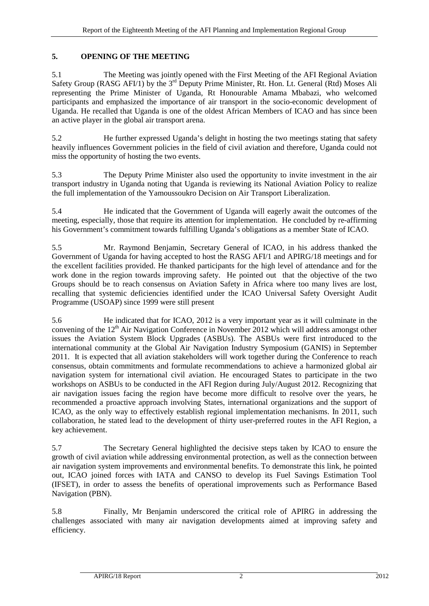# <span id="page-11-0"></span>**5. OPENING OF THE MEETING**

5.1 The Meeting was jointly opened with the First Meeting of the AFI Regional Aviation Safety Group (RASG AFI/1) by the 3<sup>rd</sup> Deputy Prime Minister, Rt. Hon. Lt. General (Rtd) Moses Ali representing the Prime Minister of Uganda, Rt Honourable Amama Mbabazi, who welcomed participants and emphasized the importance of air transport in the socio-economic development of Uganda. He recalled that Uganda is one of the oldest African Members of ICAO and has since been an active player in the global air transport arena.

5.2 He further expressed Uganda's delight in hosting the two meetings stating that safety heavily influences Government policies in the field of civil aviation and therefore, Uganda could not miss the opportunity of hosting the two events.

5.3 The Deputy Prime Minister also used the opportunity to invite investment in the air transport industry in Uganda noting that Uganda is reviewing its National Aviation Policy to realize the full implementation of the Yamoussoukro Decision on Air Transport Liberalization.

5.4 He indicated that the Government of Uganda will eagerly await the outcomes of the meeting, especially, those that require its attention for implementation. He concluded by re-affirming his Government's commitment towards fulfilling Uganda's obligations as a member State of ICAO.

5.5 Mr. Raymond Benjamin, Secretary General of ICAO, in his address thanked the Government of Uganda for having accepted to host the RASG AFI/1 and APIRG/18 meetings and for the excellent facilities provided. He thanked participants for the high level of attendance and for the work done in the region towards improving safety. He pointed out that the objective of the two Groups should be to reach consensus on Aviation Safety in Africa where too many lives are lost, recalling that systemic deficiencies identified under the ICAO Universal Safety Oversight Audit Programme (USOAP) since 1999 were still present

5.6 He indicated that for ICAO, 2012 is a very important year as it will culminate in the convening of the 12<sup>th</sup> Air Navigation Conference in November 2012 which will address amongst other issues the Aviation System Block Upgrades (ASBUs). The ASBUs were first introduced to the international community at the Global Air Navigation Industry Symposium (GANIS) in September 2011. It is expected that all aviation stakeholders will work together during the Conference to reach consensus, obtain commitments and formulate recommendations to achieve a harmonized global air navigation system for international civil aviation. He encouraged States to participate in the two workshops on ASBUs to be conducted in the AFI Region during July/August 2012. Recognizing that air navigation issues facing the region have become more difficult to resolve over the years, he recommended a proactive approach involving States, international organizations and the support of ICAO, as the only way to effectively establish regional implementation mechanisms. In 2011, such collaboration, he stated lead to the development of thirty user-preferred routes in the AFI Region, a key achievement.

5.7 The Secretary General highlighted the decisive steps taken by ICAO to ensure the growth of civil aviation while addressing environmental protection, as well as the connection between air navigation system improvements and environmental benefits. To demonstrate this link, he pointed out, ICAO joined forces with IATA and CANSO to develop its Fuel Savings Estimation Tool (IFSET), in order to assess the benefits of operational improvements such as Performance Based Navigation (PBN).

5.8 Finally, Mr Benjamin underscored the critical role of APIRG in addressing the challenges associated with many air navigation developments aimed at improving safety and efficiency.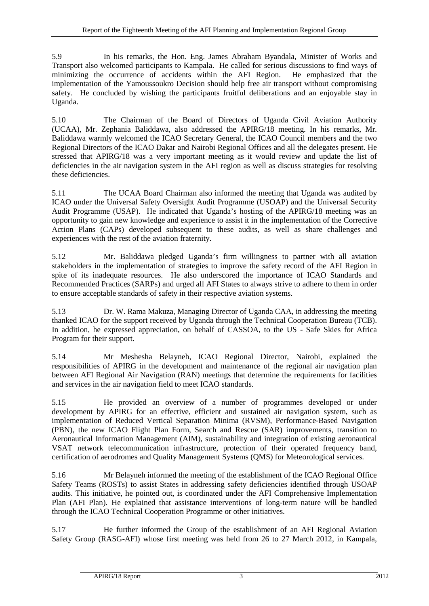5.9 In his remarks, the Hon. Eng. James Abraham Byandala, Minister of Works and Transport also welcomed participants to Kampala. He called for serious discussions to find ways of minimizing the occurrence of accidents within the AFI Region. He emphasized that the implementation of the Yamoussoukro Decision should help free air transport without compromising safety. He concluded by wishing the participants fruitful deliberations and an enjoyable stay in Uganda.

5.10 The Chairman of the Board of Directors of Uganda Civil Aviation Authority (UCAA), Mr. Zephania Baliddawa, also addressed the APIRG/18 meeting. In his remarks, Mr. Baliddawa warmly welcomed the ICAO Secretary General, the ICAO Council members and the two Regional Directors of the ICAO Dakar and Nairobi Regional Offices and all the delegates present. He stressed that APIRG/18 was a very important meeting as it would review and update the list of deficiencies in the air navigation system in the AFI region as well as discuss strategies for resolving these deficiencies.

5.11 The UCAA Board Chairman also informed the meeting that Uganda was audited by ICAO under the Universal Safety Oversight Audit Programme (USOAP) and the Universal Security Audit Programme (USAP). He indicated that Uganda's hosting of the APIRG/18 meeting was an opportunity to gain new knowledge and experience to assist it in the implementation of the Corrective Action Plans (CAPs) developed subsequent to these audits, as well as share challenges and experiences with the rest of the aviation fraternity.

5.12 Mr. Baliddawa pledged Uganda's firm willingness to partner with all aviation stakeholders in the implementation of strategies to improve the safety record of the AFI Region in spite of its inadequate resources. He also underscored the importance of ICAO Standards and Recommended Practices (SARPs) and urged all AFI States to always strive to adhere to them in order to ensure acceptable standards of safety in their respective aviation systems.

5.13 Dr. W. Rama Makuza, Managing Director of Uganda CAA, in addressing the meeting thanked ICAO for the support received by Uganda through the Technical Cooperation Bureau (TCB). In addition, he expressed appreciation, on behalf of CASSOA, to the US - Safe Skies for Africa Program for their support.

5.14 Mr Meshesha Belayneh, ICAO Regional Director, Nairobi, explained the responsibilities of APIRG in the development and maintenance of the regional air navigation plan between AFI Regional Air Navigation (RAN) meetings that determine the requirements for facilities and services in the air navigation field to meet ICAO standards.

5.15 He provided an overview of a number of programmes developed or under development by APIRG for an effective, efficient and sustained air navigation system, such as implementation of Reduced Vertical Separation Minima (RVSM), Performance-Based Navigation (PBN), the new ICAO Flight Plan Form, Search and Rescue (SAR) improvements, transition to Aeronautical Information Management (AIM), sustainability and integration of existing aeronautical VSAT network telecommunication infrastructure, protection of their operated frequency band, certification of aerodromes and Quality Management Systems (QMS) for Meteorological services.

5.16 Mr Belayneh informed the meeting of the establishment of the ICAO Regional Office Safety Teams (ROSTs) to assist States in addressing safety deficiencies identified through USOAP audits. This initiative, he pointed out, is coordinated under the AFI Comprehensive Implementation Plan (AFI Plan). He explained that assistance interventions of long-term nature will be handled through the ICAO Technical Cooperation Programme or other initiatives.

5.17 He further informed the Group of the establishment of an AFI Regional Aviation Safety Group (RASG-AFI) whose first meeting was held from 26 to 27 March 2012, in Kampala,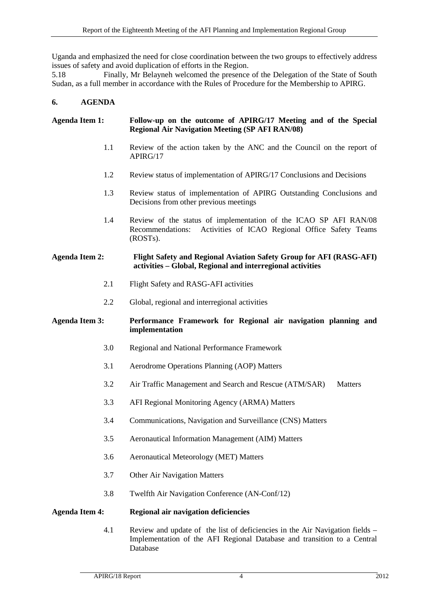Uganda and emphasized the need for close coordination between the two groups to effectively address issues of safety and avoid duplication of efforts in the Region.

5.18 Finally, Mr Belayneh welcomed the presence of the Delegation of the State of South Sudan, as a full member in accordance with the Rules of Procedure for the Membership to APIRG.

### <span id="page-13-0"></span>**6. AGENDA**

# **Agenda Item 1: Follow-up on the outcome of APIRG/17 Meeting and of the Special Regional Air Navigation Meeting (SP AFI RAN/08)**

- 1.1 Review of the action taken by the ANC and the Council on the report of APIRG/17
- 1.2 Review status of implementation of APIRG/17 Conclusions and Decisions
- 1.3 Review status of implementation of APIRG Outstanding Conclusions and Decisions from other previous meetings
- 1.4 Review of the status of implementation of the ICAO SP AFI RAN/08 Recommendations: Activities of ICAO Regional Office Safety Teams (ROSTs).

#### **Agenda Item 2: Flight Safety and Regional Aviation Safety Group for AFI (RASG-AFI) activities – Global, Regional and interregional activities**

- 2.1 Flight Safety and RASG-AFI activities
- 2.2 Global, regional and interregional activities

### **Agenda Item 3: Performance Framework for Regional air navigation planning and implementation**

- 3.0 Regional and National Performance Framework
- 3.1 Aerodrome Operations Planning (AOP) Matters
- 3.2 Air Traffic Management and Search and Rescue (ATM/SAR) Matters
- 3.3 AFI Regional Monitoring Agency (ARMA) Matters
- 3.4 Communications, Navigation and Surveillance (CNS) Matters
- 3.5 Aeronautical Information Management (AIM) Matters
- 3.6 Aeronautical Meteorology (MET) Matters
- 3.7 Other Air Navigation Matters
- 3.8 Twelfth Air Navigation Conference (AN-Conf/12)

### **Agenda Item 4: Regional air navigation deficiencies**

4.1 Review and update of the list of deficiencies in the Air Navigation fields – Implementation of the AFI Regional Database and transition to a Central Database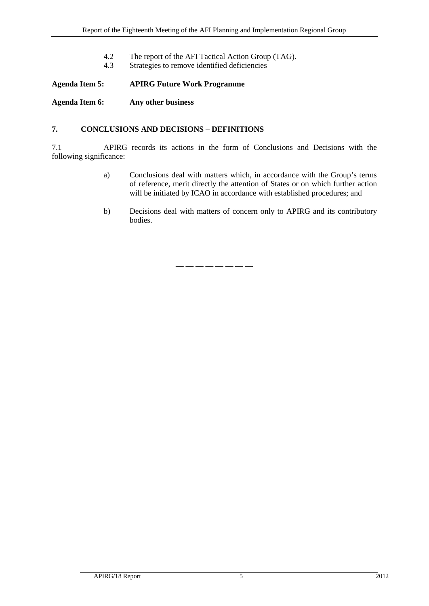- 4.2 The report of the AFI Tactical Action Group (TAG).<br>4.3 Strategies to remove identified deficiencies
- Strategies to remove identified deficiencies

**Agenda Item 5: APIRG Future Work Programme**

**Agenda Item 6: Any other business**

# <span id="page-14-0"></span>**7. CONCLUSIONS AND DECISIONS – DEFINITIONS**

7.1 APIRG records its actions in the form of Conclusions and Decisions with the following significance:

- a) Conclusions deal with matters which, in accordance with the Group's terms of reference, merit directly the attention of States or on which further action will be initiated by ICAO in accordance with established procedures; and
- b) Decisions deal with matters of concern only to APIRG and its contributory bodies.

— — — — — — — —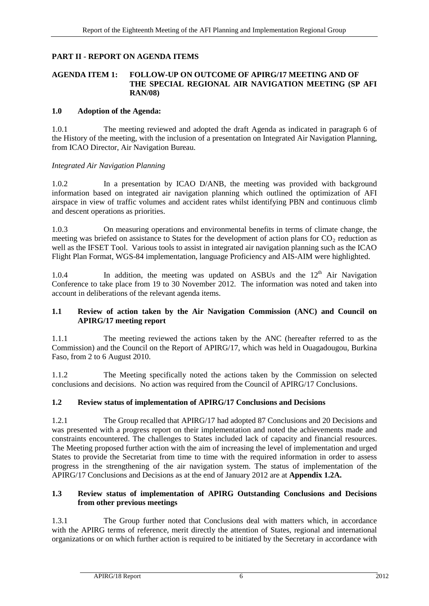# <span id="page-15-0"></span>**PART II - REPORT ON AGENDA ITEMS**

#### <span id="page-15-1"></span>**AGENDA ITEM 1: FOLLOW-UP ON OUTCOME OF APIRG/17 MEETING AND OF THE SPECIAL REGIONAL AIR NAVIGATION MEETING (SP AFI RAN/08)**

#### <span id="page-15-2"></span>**1.0 Adoption of the Agenda:**

1.0.1 The meeting reviewed and adopted the draft Agenda as indicated in paragraph 6 of the History of the meeting, with the inclusion of a presentation on Integrated Air Navigation Planning, from ICAO Director, Air Navigation Bureau.

### *Integrated Air Navigation Planning*

1.0.2 In a presentation by ICAO D/ANB, the meeting was provided with background information based on integrated air navigation planning which outlined the optimization of AFI airspace in view of traffic volumes and accident rates whilst identifying PBN and continuous climb and descent operations as priorities.

1.0.3 On measuring operations and environmental benefits in terms of climate change, the meeting was briefed on assistance to States for the development of action plans for  $CO<sub>2</sub>$  reduction as well as the IFSET Tool. Various tools to assist in integrated air navigation planning such as the ICAO Flight Plan Format, WGS-84 implementation, language Proficiency and AIS-AIM were highlighted.

1.0.4 In addition, the meeting was updated on ASBUs and the  $12<sup>th</sup>$  Air Navigation Conference to take place from 19 to 30 November 2012. The information was noted and taken into account in deliberations of the relevant agenda items.

# <span id="page-15-3"></span>**1.1 Review of action taken by the Air Navigation Commission (ANC) and Council on APIRG/17 meeting report**

1.1.1 The meeting reviewed the actions taken by the ANC (hereafter referred to as the Commission) and the Council on the Report of APIRG/17, which was held in Ouagadougou, Burkina Faso, from 2 to 6 August 2010.

1.1.2 The Meeting specifically noted the actions taken by the Commission on selected conclusions and decisions. No action was required from the Council of APIRG/17 Conclusions.

# <span id="page-15-4"></span>**1.2 Review status of implementation of APIRG/17 Conclusions and Decisions**

1.2.1 The Group recalled that APIRG/17 had adopted 87 Conclusions and 20 Decisions and was presented with a progress report on their implementation and noted the achievements made and constraints encountered. The challenges to States included lack of capacity and financial resources. The Meeting proposed further action with the aim of increasing the level of implementation and urged States to provide the Secretariat from time to time with the required information in order to assess progress in the strengthening of the air navigation system. The status of implementation of the APIRG/17 Conclusions and Decisions as at the end of January 2012 are at **Appendix 1.2A.**

### <span id="page-15-5"></span>**1.3 Review status of implementation of APIRG Outstanding Conclusions and Decisions from other previous meetings**

1.3.1 The Group further noted that Conclusions deal with matters which, in accordance with the APIRG terms of reference, merit directly the attention of States, regional and international organizations or on which further action is required to be initiated by the Secretary in accordance with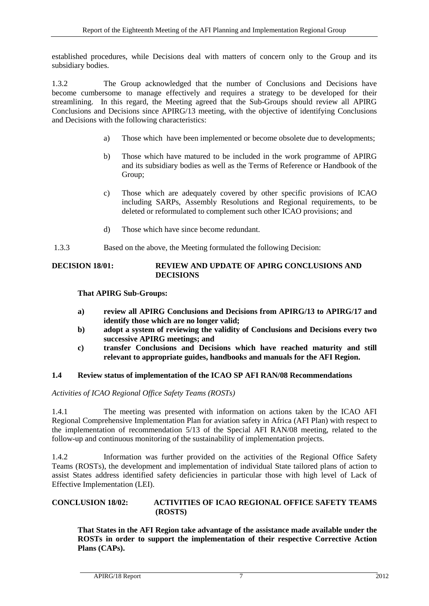established procedures, while Decisions deal with matters of concern only to the Group and its subsidiary bodies.

1.3.2 The Group acknowledged that the number of Conclusions and Decisions have become cumbersome to manage effectively and requires a strategy to be developed for their streamlining. In this regard, the Meeting agreed that the Sub-Groups should review all APIRG Conclusions and Decisions since APIRG/13 meeting, with the objective of identifying Conclusions and Decisions with the following characteristics:

- a) Those which have been implemented or become obsolete due to developments;
- b) Those which have matured to be included in the work programme of APIRG and its subsidiary bodies as well as the Terms of Reference or Handbook of the Group;
- c) Those which are adequately covered by other specific provisions of ICAO including SARPs, Assembly Resolutions and Regional requirements, to be deleted or reformulated to complement such other ICAO provisions; and
- d) Those which have since become redundant.
- 1.3.3 Based on the above, the Meeting formulated the following Decision:

# <span id="page-16-2"></span>**DECISION 18/01: REVIEW AND UPDATE OF APIRG CONCLUSIONS AND DECISIONS**

# **That APIRG Sub-Groups:**

- **a) review all APIRG Conclusions and Decisions from APIRG/13 to APIRG/17 and identify those which are no longer valid;**
- **b) adopt a system of reviewing the validity of Conclusions and Decisions every two successive APIRG meetings; and**
- **c) transfer Conclusions and Decisions which have reached maturity and still relevant to appropriate guides, handbooks and manuals for the AFI Region.**

# <span id="page-16-0"></span>**1.4 Review status of implementation of the ICAO SP AFI RAN/08 Recommendations**

*Activities of ICAO Regional Office Safety Teams (ROSTs)*

1.4.1 The meeting was presented with information on actions taken by the ICAO AFI Regional Comprehensive Implementation Plan for aviation safety in Africa (AFI Plan) with respect to the implementation of recommendation 5/13 of the Special AFI RAN/08 meeting, related to the follow-up and continuous monitoring of the sustainability of implementation projects.

1.4.2 Information was further provided on the activities of the Regional Office Safety Teams (ROSTs), the development and implementation of individual State tailored plans of action to assist States address identified safety deficiencies in particular those with high level of Lack of Effective Implementation (LEI).

# <span id="page-16-1"></span>**CONCLUSION 18/02: ACTIVITIES OF ICAO REGIONAL OFFICE SAFETY TEAMS (ROSTS)**

**That States in the AFI Region take advantage of the assistance made available under the ROSTs in order to support the implementation of their respective Corrective Action Plans (CAPs).**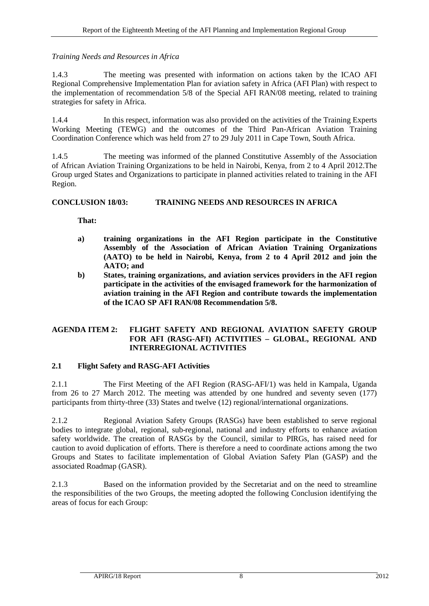# *Training Needs and Resources in Africa*

1.4.3 The meeting was presented with information on actions taken by the ICAO AFI Regional Comprehensive Implementation Plan for aviation safety in Africa (AFI Plan) with respect to the implementation of recommendation 5/8 of the Special AFI RAN/08 meeting, related to training strategies for safety in Africa.

1.4.4 In this respect, information was also provided on the activities of the Training Experts Working Meeting (TEWG) and the outcomes of the Third Pan-African Aviation Training Coordination Conference which was held from 27 to 29 July 2011 in Cape Town, South Africa.

1.4.5 The meeting was informed of the planned Constitutive Assembly of the Association of African Aviation Training Organizations to be held in Nairobi, Kenya, from 2 to 4 April 2012.The Group urged States and Organizations to participate in planned activities related to training in the AFI Region.

# <span id="page-17-2"></span>**CONCLUSION 18/03: TRAINING NEEDS AND RESOURCES IN AFRICA**

**That:**

- **a) training organizations in the AFI Region participate in the Constitutive Assembly of the Association of African Aviation Training Organizations (AATO) to be held in Nairobi, Kenya, from 2 to 4 April 2012 and join the AATO; and**
- **b) States, training organizations, and aviation services providers in the AFI region participate in the activities of the envisaged framework for the harmonization of aviation training in the AFI Region and contribute towards the implementation of the ICAO SP AFI RAN/08 Recommendation 5/8.**

# <span id="page-17-0"></span>**AGENDA ITEM 2: FLIGHT SAFETY AND REGIONAL AVIATION SAFETY GROUP FOR AFI (RASG-AFI) ACTIVITIES – GLOBAL, REGIONAL AND INTERREGIONAL ACTIVITIES**

# <span id="page-17-1"></span>**2.1 Flight Safety and RASG-AFI Activities**

2.1.1 The First Meeting of the AFI Region (RASG-AFI/1) was held in Kampala, Uganda from 26 to 27 March 2012. The meeting was attended by one hundred and seventy seven (177) participants from thirty-three (33) States and twelve (12) regional/international organizations.

2.1.2 Regional Aviation Safety Groups (RASGs) have been established to serve regional bodies to integrate global, regional, sub-regional, national and industry efforts to enhance aviation safety worldwide. The creation of RASGs by the Council, similar to PIRGs, has raised need for caution to avoid duplication of efforts. There is therefore a need to coordinate actions among the two Groups and States to facilitate implementation of Global Aviation Safety Plan (GASP) and the associated Roadmap (GASR).

2.1.3 Based on the information provided by the Secretariat and on the need to streamline the responsibilities of the two Groups, the meeting adopted the following Conclusion identifying the areas of focus for each Group: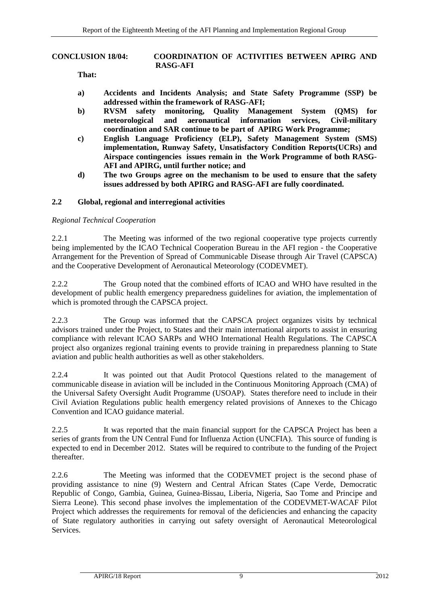#### <span id="page-18-1"></span>**CONCLUSION 18/04: COORDINATION OF ACTIVITIES BETWEEN APIRG AND RASG-AFI**

**That:**

- **a) Accidents and Incidents Analysis; and State Safety Programme (SSP) be addressed within the framework of RASG-AFI;**
- **b) RVSM safety monitoring, Quality Management System (QMS) for meteorological and aeronautical information services, Civil-military coordination and SAR continue to be part of APIRG Work Programme;**
- **c) English Language Proficiency (ELP), Safety Management System (SMS) implementation, Runway Safety, Unsatisfactory Condition Reports(UCRs) and Airspace contingencies issues remain in the Work Programme of both RASG-AFI and APIRG, until further notice; and**
- **d) The two Groups agree on the mechanism to be used to ensure that the safety issues addressed by both APIRG and RASG-AFI are fully coordinated.**

#### <span id="page-18-0"></span>**2.2 Global, regional and interregional activities**

#### *Regional Technical Cooperation*

2.2.1 The Meeting was informed of the two regional cooperative type projects currently being implemented by the ICAO Technical Cooperation Bureau in the AFI region - the Cooperative Arrangement for the Prevention of Spread of Communicable Disease through Air Travel (CAPSCA) and the Cooperative Development of Aeronautical Meteorology (CODEVMET).

2.2.2 The Group noted that the combined efforts of ICAO and WHO have resulted in the development of public health emergency preparedness guidelines for aviation, the implementation of which is promoted through the CAPSCA project.

2.2.3 The Group was informed that the CAPSCA project organizes visits by technical advisors trained under the Project, to States and their main international airports to assist in ensuring compliance with relevant ICAO SARPs and WHO International Health Regulations. The CAPSCA project also organizes regional training events to provide training in preparedness planning to State aviation and public health authorities as well as other stakeholders.

2.2.4 It was pointed out that Audit Protocol Questions related to the management of communicable disease in aviation will be included in the Continuous Monitoring Approach (CMA) of the Universal Safety Oversight Audit Programme (USOAP). States therefore need to include in their Civil Aviation Regulations public health emergency related provisions of Annexes to the Chicago Convention and ICAO guidance material.

2.2.5 It was reported that the main financial support for the CAPSCA Project has been a series of grants from the UN Central Fund for Influenza Action (UNCFIA). This source of funding is expected to end in December 2012. States will be required to contribute to the funding of the Project thereafter.

2.2.6 The Meeting was informed that the CODEVMET project is the second phase of providing assistance to nine (9) Western and Central African States (Cape Verde, Democratic Republic of Congo, Gambia, Guinea, Guinea-Bissau, Liberia, Nigeria, Sao Tome and Principe and Sierra Leone). This second phase involves the implementation of the CODEVMET-WACAF Pilot Project which addresses the requirements for removal of the deficiencies and enhancing the capacity of State regulatory authorities in carrying out safety oversight of Aeronautical Meteorological Services.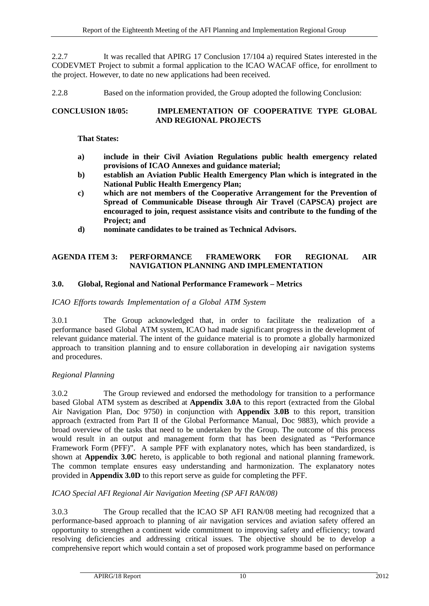2.2.7 It was recalled that APIRG 17 Conclusion 17/104 a) required States interested in the CODEVMET Project to submit a formal application to the ICAO WACAF office, for enrollment to the project. However, to date no new applications had been received.

2.2.8 Based on the information provided, the Group adopted the following Conclusion:

# <span id="page-19-2"></span>**CONCLUSION 18/05: IMPLEMENTATION OF COOPERATIVE TYPE GLOBAL AND REGIONAL PROJECTS**

# **That States:**

- **a) include in their Civil Aviation Regulations public health emergency related provisions of ICAO Annexes and guidance material;**
- **b) establish an Aviation Public Health Emergency Plan which is integrated in the National Public Health Emergency Plan;**
- **c) which are not members of the Cooperative Arrangement for the Prevention of Spread of Communicable Disease through Air Travel** (**CAPSCA) project are encouraged to join, request assistance visits and contribute to the funding of the Project; and**
- **d) nominate candidates to be trained as Technical Advisors.**

# <span id="page-19-0"></span>**AGENDA ITEM 3: PERFORMANCE FRAMEWORK FOR REGIONAL AIR NAVIGATION PLANNING AND IMPLEMENTATION**

# <span id="page-19-1"></span>**3.0. Global, Regional and National Performance Framework – Metrics**

# *ICAO Efforts towards Implementation of a Global ATM System*

3.0.1 The Group acknowledged that, in order to facilitate the realization of a performance based Global ATM system, ICAO had made significant progress in the development of relevant guidance material. The intent of the guidance material is to promote a globally harmonized approach to transition planning and to ensure collaboration in developing air navigation systems and procedures.

# *Regional Planning*

3.0.2 The Group reviewed and endorsed the methodology for transition to a performance based Global ATM system as described at **Appendix 3.0A** to this report (extracted from the Global Air Navigation Plan, Doc 9750) in conjunction with **Appendix 3.0B** to this report, transition approach (extracted from Part II of the Global Performance Manual, Doc 9883), which provide a broad overview of the tasks that need to be undertaken by the Group. The outcome of this process would result in an output and management form that has been designated as "Performance Framework Form (PFF)". A sample PFF with explanatory notes, which has been standardized, is shown at **Appendix 3.0C** hereto, is applicable to both regional and national planning framework. The common template ensures easy understanding and harmonization. The explanatory notes provided in **Appendix 3.0D** to this report serve as guide for completing the PFF.

# *ICAO Special AFI Regional Air Navigation Meeting (SP AFI RAN/08)*

3.0.3 The Group recalled that the ICAO SP AFI RAN/08 meeting had recognized that a performance-based approach to planning of air navigation services and aviation safety offered an opportunity to strengthen a continent wide commitment to improving safety and efficiency; toward resolving deficiencies and addressing critical issues. The objective should be to develop a comprehensive report which would contain a set of proposed work programme based on performance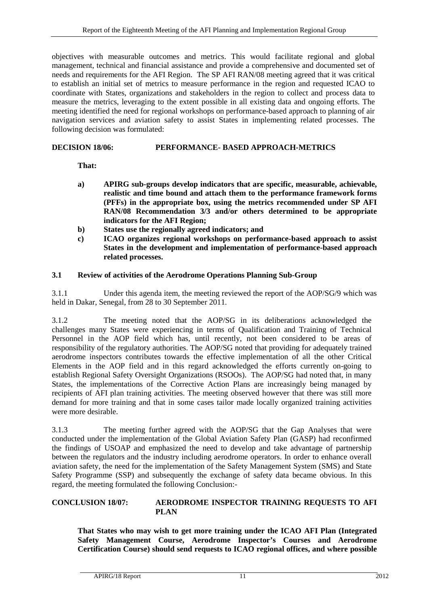objectives with measurable outcomes and metrics. This would facilitate regional and global management, technical and financial assistance and provide a comprehensive and documented set of needs and requirements for the AFI Region. The SP AFI RAN/08 meeting agreed that it was critical to establish an initial set of metrics to measure performance in the region and requested ICAO to coordinate with States, organizations and stakeholders in the region to collect and process data to measure the metrics, leveraging to the extent possible in all existing data and ongoing efforts. The meeting identified the need for regional workshops on performance-based approach to planning of air navigation services and aviation safety to assist States in implementing related processes. The following decision was formulated:

# <span id="page-20-2"></span>**DECISION 18/06: PERFORMANCE- BASED APPROACH-METRICS**

**That:**

- **a) APIRG sub-groups develop indicators that are specific, measurable, achievable, realistic and time bound and attach them to the performance framework forms (PFFs) in the appropriate box, using the metrics recommended under SP AFI RAN/08 Recommendation 3/3 and/or others determined to be appropriate indicators for the AFI Region;**
- **b) States use the regionally agreed indicators; and**
- **c) ICAO organizes regional workshops on performance-based approach to assist States in the development and implementation of performance-based approach related processes.**

# <span id="page-20-0"></span>**3.1 Review of activities of the Aerodrome Operations Planning Sub-Group**

3.1.1 Under this agenda item, the meeting reviewed the report of the AOP/SG/9 which was held in Dakar, Senegal, from 28 to 30 September 2011.

3.1.2 The meeting noted that the AOP/SG in its deliberations acknowledged the challenges many States were experiencing in terms of Qualification and Training of Technical Personnel in the AOP field which has, until recently, not been considered to be areas of responsibility of the regulatory authorities. The AOP/SG noted that providing for adequately trained aerodrome inspectors contributes towards the effective implementation of all the other Critical Elements in the AOP field and in this regard acknowledged the efforts currently on-going to establish Regional Safety Oversight Organizations (RSOOs). The AOP/SG had noted that, in many States, the implementations of the Corrective Action Plans are increasingly being managed by recipients of AFI plan training activities. The meeting observed however that there was still more demand for more training and that in some cases tailor made locally organized training activities were more desirable.

3.1.3 The meeting further agreed with the AOP/SG that the Gap Analyses that were conducted under the implementation of the Global Aviation Safety Plan (GASP) had reconfirmed the findings of USOAP and emphasized the need to develop and take advantage of partnership between the regulators and the industry including aerodrome operators. In order to enhance overall aviation safety, the need for the implementation of the Safety Management System (SMS) and State Safety Programme (SSP) and subsequently the exchange of safety data became obvious. In this regard, the meeting formulated the following Conclusion:-

### <span id="page-20-1"></span>**CONCLUSION 18/07: AERODROME INSPECTOR TRAINING REQUESTS TO AFI PLAN**

**That States who may wish to get more training under the ICAO AFI Plan (Integrated Safety Management Course, Aerodrome Inspector's Courses and Aerodrome Certification Course) should send requests to ICAO regional offices, and where possible**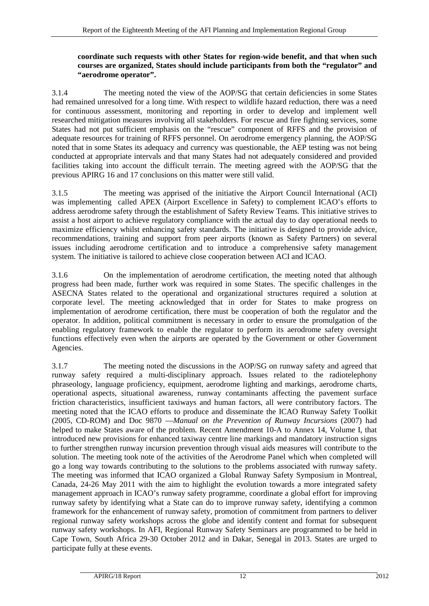# **coordinate such requests with other States for region-wide benefit, and that when such courses are organized, States should include participants from both the "regulator" and "aerodrome operator".**

3.1.4 The meeting noted the view of the AOP/SG that certain deficiencies in some States had remained unresolved for a long time. With respect to wildlife hazard reduction, there was a need for continuous assessment, monitoring and reporting in order to develop and implement well researched mitigation measures involving all stakeholders. For rescue and fire fighting services, some States had not put sufficient emphasis on the "rescue" component of RFFS and the provision of adequate resources for training of RFFS personnel. On aerodrome emergency planning, the AOP/SG noted that in some States its adequacy and currency was questionable, the AEP testing was not being conducted at appropriate intervals and that many States had not adequately considered and provided facilities taking into account the difficult terrain. The meeting agreed with the AOP/SG that the previous APIRG 16 and 17 conclusions on this matter were still valid.

3.1.5 The meeting was apprised of the initiative the Airport Council International (ACI) was implementing called APEX (Airport Excellence in Safety) to complement ICAO's efforts to address aerodrome safety through the establishment of Safety Review Teams. This initiative strives to assist a host airport to achieve regulatory compliance with the actual day to day operational needs to maximize efficiency whilst enhancing safety standards. The initiative is designed to provide advice, recommendations, training and support from peer airports (known as Safety Partners) on several issues including aerodrome certification and to introduce a comprehensive safety management system. The initiative is tailored to achieve close cooperation between ACI and ICAO.

3.1.6 On the implementation of aerodrome certification, the meeting noted that although progress had been made, further work was required in some States. The specific challenges in the ASECNA States related to the operational and organizational structures required a solution at corporate level. The meeting acknowledged that in order for States to make progress on implementation of aerodrome certification, there must be cooperation of both the regulator and the operator. In addition, political commitment is necessary in order to ensure the promulgation of the enabling regulatory framework to enable the regulator to perform its aerodrome safety oversight functions effectively even when the airports are operated by the Government or other Government Agencies.

3.1.7 The meeting noted the discussions in the AOP/SG on runway safety and agreed that runway safety required a multi-disciplinary approach. Issues related to the radiotelephony phraseology, language proficiency, equipment, aerodrome lighting and markings, aerodrome charts, operational aspects, situational awareness, runway contaminants affecting the pavement surface friction characteristics, insufficient taxiways and human factors, all were contributory factors. The meeting noted that the ICAO efforts to produce and disseminate the ICAO Runway Safety Toolkit (2005, CD-ROM) and Doc 9870 —*Manual on the Prevention of Runway Incursions* (2007) had helped to make States aware of the problem. Recent Amendment 10-A to Annex 14, Volume I, that introduced new provisions for enhanced taxiway centre line markings and mandatory instruction signs to further strengthen runway incursion prevention through visual aids measures will contribute to the solution. The meeting took note of the activities of the Aerodrome Panel which when completed will go a long way towards contributing to the solutions to the problems associated with runway safety. The meeting was informed that ICAO organized a Global Runway Safety Symposium in Montreal, Canada, 24-26 May 2011 with the aim to highlight the evolution towards a more integrated safety management approach in ICAO's runway safety programme, coordinate a global effort for improving runway safety by identifying what a State can do to improve runway safety, identifying a common framework for the enhancement of runway safety, promotion of commitment from partners to deliver regional runway safety workshops across the globe and identify content and format for subsequent runway safety workshops. In AFI, Regional Runway Safety Seminars are programmed to be held in Cape Town, South Africa 29-30 October 2012 and in Dakar, Senegal in 2013. States are urged to participate fully at these events.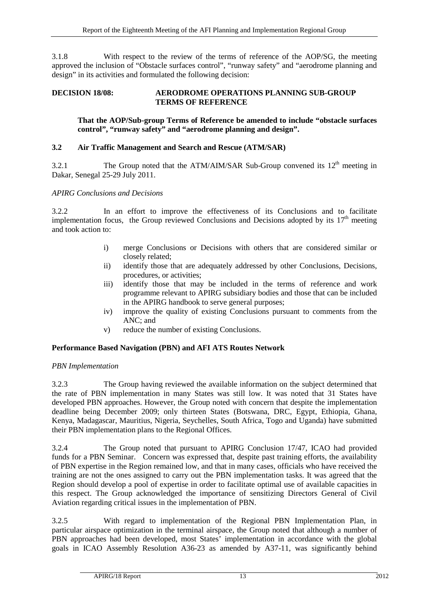3.1.8 With respect to the review of the terms of reference of the AOP/SG, the meeting approved the inclusion of "Obstacle surfaces control", "runway safety" and "aerodrome planning and design" in its activities and formulated the following decision:

# <span id="page-22-1"></span>**DECISION 18/08: AERODROME OPERATIONS PLANNING SUB-GROUP TERMS OF REFERENCE**

# **That the AOP/Sub-group Terms of Reference be amended to include "obstacle surfaces control", "runway safety" and "aerodrome planning and design".**

# <span id="page-22-0"></span>**3.2 Air Traffic Management and Search and Rescue (ATM/SAR)**

3.2.1 The Group noted that the ATM/AIM/SAR Sub-Group convened its  $12<sup>th</sup>$  meeting in Dakar, Senegal 25-29 July 2011.

# *APIRG Conclusions and Decisions*

3.2.2 In an effort to improve the effectiveness of its Conclusions and to facilitate implementation focus, the Group reviewed Conclusions and Decisions adopted by its  $17<sup>th</sup>$  meeting and took action to:

- i) merge Conclusions or Decisions with others that are considered similar or closely related;
- ii) identify those that are adequately addressed by other Conclusions, Decisions, procedures, or activities;
- iii) identify those that may be included in the terms of reference and work programme relevant to APIRG subsidiary bodies and those that can be included in the APIRG handbook to serve general purposes;
- iv) improve the quality of existing Conclusions pursuant to comments from the ANC; and
- v) reduce the number of existing Conclusions.

# **Performance Based Navigation (PBN) and AFI ATS Routes Network**

# *PBN Implementation*

3.2.3 The Group having reviewed the available information on the subject determined that the rate of PBN implementation in many States was still low. It was noted that 31 States have developed PBN approaches. However, the Group noted with concern that despite the implementation deadline being December 2009; only thirteen States (Botswana, DRC, Egypt, Ethiopia, Ghana, Kenya, Madagascar, Mauritius, Nigeria, Seychelles, South Africa, Togo and Uganda) have submitted their PBN implementation plans to the Regional Offices.

3.2.4 The Group noted that pursuant to APIRG Conclusion 17/47, ICAO had provided funds for a PBN Seminar. Concern was expressed that, despite past training efforts, the availability of PBN expertise in the Region remained low, and that in many cases, officials who have received the training are not the ones assigned to carry out the PBN implementation tasks. It was agreed that the Region should develop a pool of expertise in order to facilitate optimal use of available capacities in this respect. The Group acknowledged the importance of sensitizing Directors General of Civil Aviation regarding critical issues in the implementation of PBN.

3.2.5 With regard to implementation of the Regional PBN Implementation Plan, in particular airspace optimization in the terminal airspace, the Group noted that although a number of PBN approaches had been developed, most States' implementation in accordance with the global goals in ICAO Assembly Resolution A36-23 as amended by A37-11, was significantly behind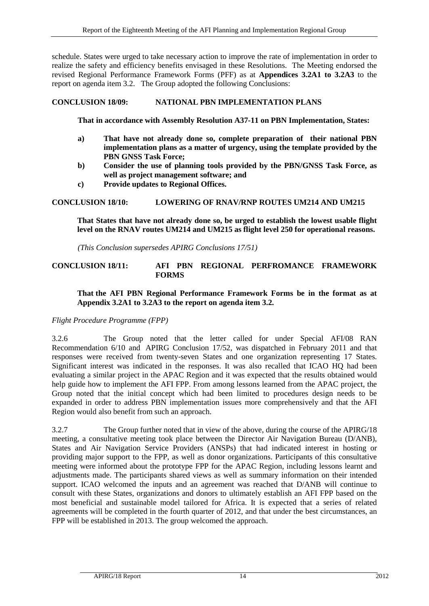schedule. States were urged to take necessary action to improve the rate of implementation in order to realize the safety and efficiency benefits envisaged in these Resolutions. The Meeting endorsed the revised Regional Performance Framework Forms (PFF) as at **Appendices 3.2A1 to 3.2A3** to the report on agenda item 3.2. The Group adopted the following Conclusions:

# <span id="page-23-0"></span>**CONCLUSION 18/09: NATIONAL PBN IMPLEMENTATION PLANS**

**That in accordance with Assembly Resolution A37-11 on PBN Implementation, States:**

- **a) That have not already done so, complete preparation of their national PBN implementation plans as a matter of urgency, using the template provided by the PBN GNSS Task Force;**
- **b) Consider the use of planning tools provided by the PBN/GNSS Task Force, as well as project management software; and**
- **c) Provide updates to Regional Offices.**

#### <span id="page-23-1"></span>**CONCLUSION 18/10: LOWERING OF RNAV/RNP ROUTES UM214 AND UM215**

**That States that have not already done so, be urged to establish the lowest usable flight level on the RNAV routes UM214 and UM215 as flight level 250 for operational reasons.**

*(This Conclusion supersedes APIRG Conclusions 17/51)*

### <span id="page-23-2"></span>**CONCLUSION 18/11: AFI PBN REGIONAL PERFROMANCE FRAMEWORK FORMS**

### **That the AFI PBN Regional Performance Framework Forms be in the format as at Appendix 3.2A1 to 3.2A3 to the report on agenda item 3.2.**

*Flight Procedure Programme (FPP)*

3.2.6 The Group noted that the letter called for under Special AFI/08 RAN Recommendation 6/10 and APIRG Conclusion 17/52, was dispatched in February 2011 and that responses were received from twenty-seven States and one organization representing 17 States. Significant interest was indicated in the responses. It was also recalled that ICAO HQ had been evaluating a similar project in the APAC Region and it was expected that the results obtained would help guide how to implement the AFI FPP. From among lessons learned from the APAC project, the Group noted that the initial concept which had been limited to procedures design needs to be expanded in order to address PBN implementation issues more comprehensively and that the AFI Region would also benefit from such an approach.

3.2.7 The Group further noted that in view of the above, during the course of the APIRG/18 meeting, a consultative meeting took place between the Director Air Navigation Bureau (D/ANB), States and Air Navigation Service Providers (ANSPs) that had indicated interest in hosting or providing major support to the FPP, as well as donor organizations. Participants of this consultative meeting were informed about the prototype FPP for the APAC Region, including lessons learnt and adjustments made. The participants shared views as well as summary information on their intended support. ICAO welcomed the inputs and an agreement was reached that D/ANB will continue to consult with these States, organizations and donors to ultimately establish an AFI FPP based on the most beneficial and sustainable model tailored for Africa. It is expected that a series of related agreements will be completed in the fourth quarter of 2012, and that under the best circumstances, an FPP will be established in 2013. The group welcomed the approach.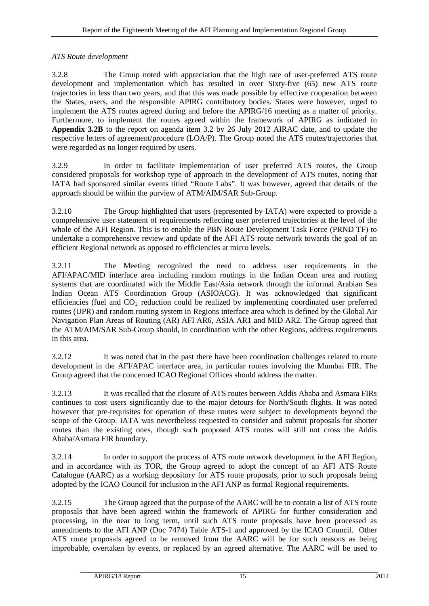# *ATS Route development*

3.2.8 The Group noted with appreciation that the high rate of user-preferred ATS route development and implementation which has resulted in over Sixty-five (65) new ATS route trajectories in less than two years, and that this was made possible by effective cooperation between the States, users, and the responsible APIRG contributory bodies. States were however, urged to implement the ATS routes agreed during and before the APIRG/16 meeting as a matter of priority. Furthermore, to implement the routes agreed within the framework of APIRG as indicated in **Appendix 3.2B** to the report on agenda item 3.2 by 26 July 2012 AIRAC date, and to update the respective letters of agreement/procedure (LOA/P). The Group noted the ATS routes/trajectories that were regarded as no longer required by users.

3.2.9 In order to facilitate implementation of user preferred ATS routes, the Group considered proposals for workshop type of approach in the development of ATS routes, noting that IATA had sponsored similar events titled "Route Labs". It was however, agreed that details of the approach should be within the purview of ATM/AIM/SAR Sub-Group.

3.2.10 The Group highlighted that users (represented by IATA) were expected to provide a comprehensive user statement of requirements reflecting user preferred trajectories at the level of the whole of the AFI Region. This is to enable the PBN Route Development Task Force (PRND TF) to undertake a comprehensive review and update of the AFI ATS route network towards the goal of an efficient Regional network as opposed to efficiencies at micro levels.

3.2.11 The Meeting recognized the need to address user requirements in the AFI/APAC/MID interface area including random routings in the Indian Ocean area and routing systems that are coordinated with the Middle East/Asia network through the informal Arabian Sea Indian Ocean ATS Coordination Group (ASIOACG). It was acknowledged that significant efficiencies (fuel and  $CO<sub>2</sub>$  reduction could be realized by implementing coordinated user preferred routes (UPR) and random routing system in Regions interface area which is defined by the Global Air Navigation Plan Areas of Routing (AR) AFI AR6, ASIA AR1 and MID AR2. The Group agreed that the ATM/AIM/SAR Sub-Group should, in coordination with the other Regions, address requirements in this area.

3.2.12 It was noted that in the past there have been coordination challenges related to route development in the AFI/APAC interface area, in particular routes involving the Mumbai FIR. The Group agreed that the concerned ICAO Regional Offices should address the matter.

3.2.13 It was recalled that the closure of ATS routes between Addis Ababa and Asmara FIRs continues to cost users significantly due to the major detours for North/South flights. It was noted however that pre-requisites for operation of these routes were subject to developments beyond the scope of the Group. IATA was nevertheless requested to consider and submit proposals for shorter routes than the existing ones, though such proposed ATS routes will still not cross the Addis Ababa/Asmara FIR boundary.

3.2.14 In order to support the process of ATS route network development in the AFI Region, and in accordance with its TOR, the Group agreed to adopt the concept of an AFI ATS Route Catalogue (AARC) as a working depository for ATS route proposals, prior to such proposals being adopted by the ICAO Council for inclusion in the AFI ANP as formal Regional requirements.

3.2.15 The Group agreed that the purpose of the AARC will be to contain a list of ATS route proposals that have been agreed within the framework of APIRG for further consideration and processing, in the near to long term, until such ATS route proposals have been processed as amendments to the AFI ANP (Doc 7474) Table ATS-1 and approved by the ICAO Council. Other ATS route proposals agreed to be removed from the AARC will be for such reasons as being improbable, overtaken by events, or replaced by an agreed alternative. The AARC will be used to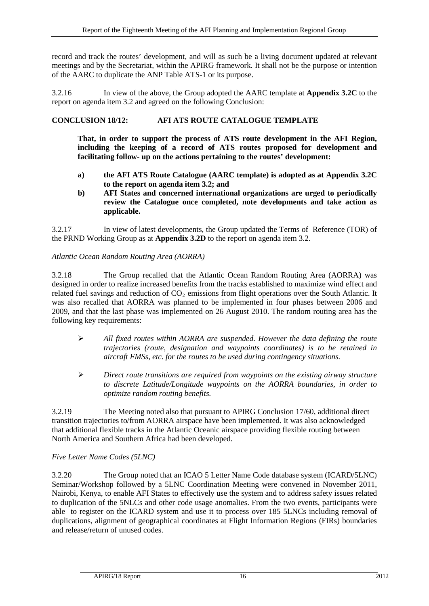record and track the routes' development, and will as such be a living document updated at relevant meetings and by the Secretariat, within the APIRG framework. It shall not be the purpose or intention of the AARC to duplicate the ANP Table ATS-1 or its purpose.

3.2.16 In view of the above, the Group adopted the AARC template at **Appendix 3.2C** to the report on agenda item 3.2 and agreed on the following Conclusion:

# <span id="page-25-0"></span>**CONCLUSION 18/12: AFI ATS ROUTE CATALOGUE TEMPLATE**

**That, in order to support the process of ATS route development in the AFI Region, including the keeping of a record of ATS routes proposed for development and facilitating follow- up on the actions pertaining to the routes' development:**

- **a) the AFI ATS Route Catalogue (AARC template) is adopted as at Appendix 3.2C to the report on agenda item 3.2; and**
- **b) AFI States and concerned international organizations are urged to periodically review the Catalogue once completed, note developments and take action as applicable.**

3.2.17 In view of latest developments, the Group updated the Terms of Reference (TOR) of the PRND Working Group as at **Appendix 3.2D** to the report on agenda item 3.2.

# *Atlantic Ocean Random Routing Area (AORRA)*

3.2.18 The Group recalled that the Atlantic Ocean Random Routing Area (AORRA) was designed in order to realize increased benefits from the tracks established to maximize wind effect and related fuel savings and reduction of  $CO<sub>2</sub>$  emissions from flight operations over the South Atlantic. It was also recalled that AORRA was planned to be implemented in four phases between 2006 and 2009, and that the last phase was implemented on 26 August 2010. The random routing area has the following key requirements:

- *All fixed routes within AORRA are suspended. However the data defining the route trajectories (route, designation and waypoints coordinates) is to be retained in aircraft FMSs, etc. for the routes to be used during contingency situations.*
- *Direct route transitions are required from waypoints on the existing airway structure to discrete Latitude/Longitude waypoints on the AORRA boundaries, in order to optimize random routing benefits.*

3.2.19 The Meeting noted also that pursuant to APIRG Conclusion 17/60, additional direct transition trajectories to/from AORRA airspace have been implemented. It was also acknowledged that additional flexible tracks in the Atlantic Oceanic airspace providing flexible routing between North America and Southern Africa had been developed.

# *Five Letter Name Codes (5LNC)*

3.2.20 The Group noted that an ICAO 5 Letter Name Code database system (ICARD/5LNC) Seminar/Workshop followed by a 5LNC Coordination Meeting were convened in November 2011, Nairobi, Kenya, to enable AFI States to effectively use the system and to address safety issues related to duplication of the 5NLCs and other code usage anomalies. From the two events, participants were able to register on the ICARD system and use it to process over 185 5LNCs including removal of duplications, alignment of geographical coordinates at Flight Information Regions (FIRs) boundaries and release/return of unused codes.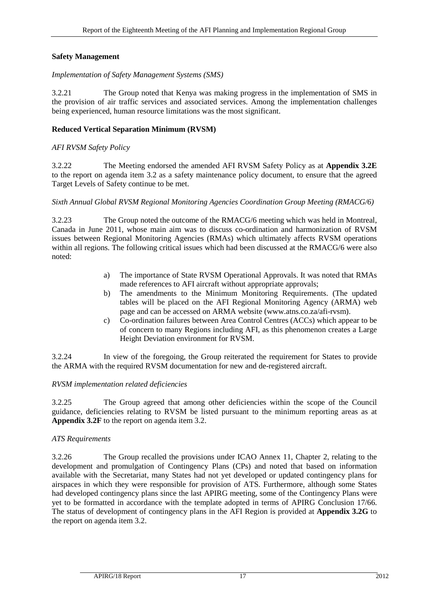# **Safety Management**

# *Implementation of Safety Management Systems (SMS)*

3.2.21 The Group noted that Kenya was making progress in the implementation of SMS in the provision of air traffic services and associated services. Among the implementation challenges being experienced, human resource limitations was the most significant.

# **Reduced Vertical Separation Minimum (RVSM)**

# *AFI RVSM Safety Policy*

3.2.22 The Meeting endorsed the amended AFI RVSM Safety Policy as at **Appendix 3.2E**  to the report on agenda item 3.2 as a safety maintenance policy document, to ensure that the agreed Target Levels of Safety continue to be met.

# *Sixth Annual Global RVSM Regional Monitoring Agencies Coordination Group Meeting (RMACG/6)*

3.2.23 The Group noted the outcome of the RMACG/6 meeting which was held in Montreal, Canada in June 2011, whose main aim was to discuss co-ordination and harmonization of RVSM issues between Regional Monitoring Agencies (RMAs) which ultimately affects RVSM operations within all regions. The following critical issues which had been discussed at the RMACG/6 were also noted:

- a) The importance of State RVSM Operational Approvals. It was noted that RMAs made references to AFI aircraft without appropriate approvals;
- b) The amendments to the Minimum Monitoring Requirements. (The updated tables will be placed on the AFI Regional Monitoring Agency (ARMA) web page and can be accessed on ARMA website [\(www.atns.co.za/afi-rvsm\)](http://www.atns.co.za/afi-rvsm).
- c) Co-ordination failures between Area Control Centres (ACCs) which appear to be of concern to many Regions including AFI, as this phenomenon creates a Large Height Deviation environment for RVSM.

3.2.24 In view of the foregoing, the Group reiterated the requirement for States to provide the ARMA with the required RVSM documentation for new and de-registered aircraft.

# *RVSM implementation related deficiencies*

3.2.25 The Group agreed that among other deficiencies within the scope of the Council guidance, deficiencies relating to RVSM be listed pursuant to the minimum reporting areas as at **Appendix 3.2F** to the report on agenda item 3.2.

# *ATS Requirements*

3.2.26 The Group recalled the provisions under ICAO Annex 11, Chapter 2, relating to the development and promulgation of Contingency Plans (CPs) and noted that based on information available with the Secretariat, many States had not yet developed or updated contingency plans for airspaces in which they were responsible for provision of ATS. Furthermore, although some States had developed contingency plans since the last APIRG meeting, some of the Contingency Plans were yet to be formatted in accordance with the template adopted in terms of APIRG Conclusion 17/66. The status of development of contingency plans in the AFI Region is provided at **Appendix 3.2G** to the report on agenda item 3.2.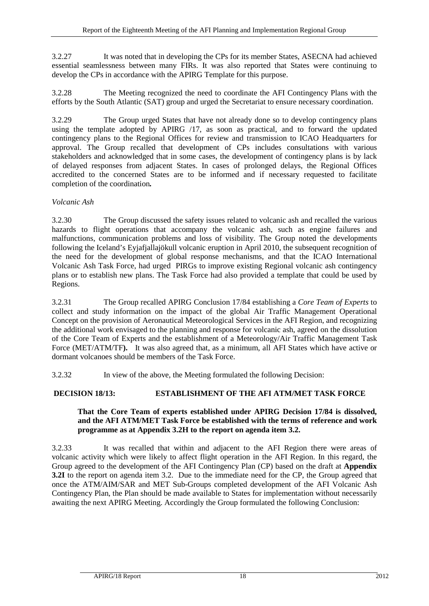3.2.27 It was noted that in developing the CPs for its member States, ASECNA had achieved essential seamlessness between many FIRs. It was also reported that States were continuing to develop the CPs in accordance with the APIRG Template for this purpose.

3.2.28 The Meeting recognized the need to coordinate the AFI Contingency Plans with the efforts by the South Atlantic (SAT) group and urged the Secretariat to ensure necessary coordination.

3.2.29 The Group urged States that have not already done so to develop contingency plans using the template adopted by APIRG /17, as soon as practical, and to forward the updated contingency plans to the Regional Offices for review and transmission to ICAO Headquarters for approval. The Group recalled that development of CPs includes consultations with various stakeholders and acknowledged that in some cases, the development of contingency plans is by lack of delayed responses from adjacent States. In cases of prolonged delays, the Regional Offices accredited to the concerned States are to be informed and if necessary requested to facilitate completion of the coordination*.*

# *Volcanic Ash*

3.2.30 The Group discussed the safety issues related to volcanic ash and recalled the various hazards to flight operations that accompany the volcanic ash, such as engine failures and malfunctions, communication problems and loss of visibility. The Group noted the developments following the Iceland's Eyjafjallajökull volcanic eruption in April 2010, the subsequent recognition of the need for the development of global response mechanisms, and that the ICAO International Volcanic Ash Task Force, had urged PIRGs to improve existing Regional volcanic ash contingency plans or to establish new plans. The Task Force had also provided a template that could be used by Regions.

3.2.31 The Group recalled APIRG Conclusion 17/84 establishing a *Core Team of Experts* to collect and study information on the impact of the global Air Traffic Management Operational Concept on the provision of Aeronautical Meteorological Services in the AFI Region, and recognizing the additional work envisaged to the planning and response for volcanic ash, agreed on the dissolution of the Core Team of Experts and the establishment of a Meteorology/Air Traffic Management Task Force (MET/ATM/TF**).** It was also agreed that, as a minimum, all AFI States which have active or dormant volcanoes should be members of the Task Force.

3.2.32 In view of the above, the Meeting formulated the following Decision:

# <span id="page-27-0"></span>**DECISION 18/13: ESTABLISHMENT OF THE AFI ATM/MET TASK FORCE**

# **That the Core Team of experts established under APIRG Decision 17/84 is dissolved, and the AFI ATM/MET Task Force be established with the terms of reference and work programme as at Appendix 3.2H to the report on agenda item 3.2.**

3.2.33 It was recalled that within and adjacent to the AFI Region there were areas of volcanic activity which were likely to affect flight operation in the AFI Region. In this regard, the Group agreed to the development of the AFI Contingency Plan (CP) based on the draft at **Appendix 3.2I** to the report on agenda item 3.2. Due to the immediate need for the CP, the Group agreed that once the ATM/AIM/SAR and MET Sub-Groups completed development of the AFI Volcanic Ash Contingency Plan, the Plan should be made available to States for implementation without necessarily awaiting the next APIRG Meeting. Accordingly the Group formulated the following Conclusion: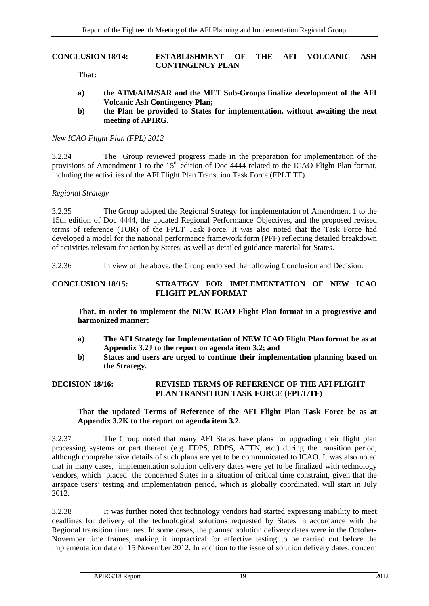#### <span id="page-28-0"></span>**CONCLUSION 18/14: ESTABLISHMENT OF THE AFI VOLCANIC ASH CONTINGENCY PLAN**

**That:**

- **a) the ATM/AIM/SAR and the MET Sub-Groups finalize development of the AFI Volcanic Ash Contingency Plan;**
- **b) the Plan be provided to States for implementation, without awaiting the next meeting of APIRG.**

### *New ICAO Flight Plan (FPL) 2012*

3.2.34 The Group reviewed progress made in the preparation for implementation of the provisions of Amendment 1 to the 15<sup>th</sup> edition of Doc 4444 related to the ICAO Flight Plan format, including the activities of the AFI Flight Plan Transition Task Force (FPLT TF).

### *Regional Strategy*

3.2.35 The Group adopted the Regional Strategy for implementation of Amendment 1 to the 15th edition of Doc 4444, the updated Regional Performance Objectives, and the proposed revised terms of reference (TOR) of the FPLT Task Force. It was also noted that the Task Force had developed a model for the national performance framework form (PFF) reflecting detailed breakdown of activities relevant for action by States, as well as detailed guidance material for States.

3.2.36 In view of the above, the Group endorsed the following Conclusion and Decision:

### <span id="page-28-1"></span>**CONCLUSION 18/15: STRATEGY FOR IMPLEMENTATION OF NEW ICAO FLIGHT PLAN FORMAT**

**That, in order to implement the NEW ICAO Flight Plan format in a progressive and harmonized manner:**

- **a) The AFI Strategy for Implementation of NEW ICAO Flight Plan format be as at Appendix 3.2J to the report on agenda item 3.2; and**
- **b) States and users are urged to continue their implementation planning based on the Strategy.**

# <span id="page-28-2"></span>**DECISION 18/16: REVISED TERMS OF REFERENCE OF THE AFI FLIGHT PLAN TRANSITION TASK FORCE (FPLT/TF)**

#### **That the updated Terms of Reference of the AFI Flight Plan Task Force be as at Appendix 3.2K to the report on agenda item 3.2.**

3.2.37 The Group noted that many AFI States have plans for upgrading their flight plan processing systems or part thereof (e.g. FDPS, RDPS, AFTN, etc.) during the transition period, although comprehensive details of such plans are yet to be communicated to ICAO. It was also noted that in many cases, implementation solution delivery dates were yet to be finalized with technology vendors, which placed the concerned States in a situation of critical time constraint, given that the airspace users' testing and implementation period, which is globally coordinated, will start in July 2012.

3.2.38 It was further noted that technology vendors had started expressing inability to meet deadlines for delivery of the technological solutions requested by States in accordance with the Regional transition timelines. In some cases, the planned solution delivery dates were in the October-November time frames, making it impractical for effective testing to be carried out before the implementation date of 15 November 2012. In addition to the issue of solution delivery dates, concern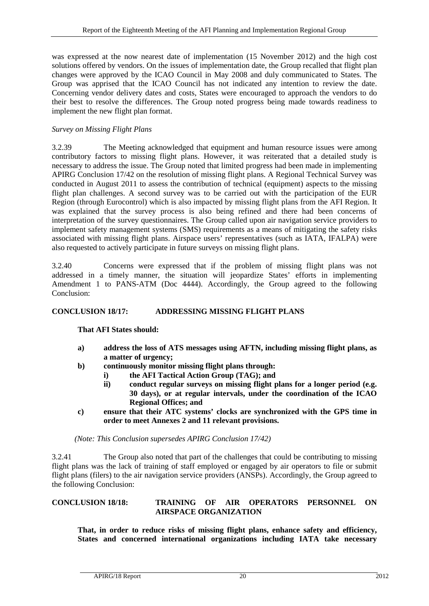was expressed at the now nearest date of implementation (15 November 2012) and the high cost solutions offered by vendors. On the issues of implementation date, the Group recalled that flight plan changes were approved by the ICAO Council in May 2008 and duly communicated to States. The Group was apprised that the ICAO Council has not indicated any intention to review the date. Concerning vendor delivery dates and costs, States were encouraged to approach the vendors to do their best to resolve the differences. The Group noted progress being made towards readiness to implement the new flight plan format.

#### *Survey on Missing Flight Plans*

3.2.39 The Meeting acknowledged that equipment and human resource issues were among contributory factors to missing flight plans. However, it was reiterated that a detailed study is necessary to address the issue. The Group noted that limited progress had been made in implementing APIRG Conclusion 17/42 on the resolution of missing flight plans. A Regional Technical Survey was conducted in August 2011 to assess the contribution of technical (equipment) aspects to the missing flight plan challenges. A second survey was to be carried out with the participation of the EUR Region (through Eurocontrol) which is also impacted by missing flight plans from the AFI Region. It was explained that the survey process is also being refined and there had been concerns of interpretation of the survey questionnaires. The Group called upon air navigation service providers to implement safety management systems (SMS) requirements as a means of mitigating the safety risks associated with missing flight plans. Airspace users' representatives (such as IATA, IFALPA) were also requested to actively participate in future surveys on missing flight plans.

3.2.40 Concerns were expressed that if the problem of missing flight plans was not addressed in a timely manner, the situation will jeopardize States' efforts in implementing Amendment 1 to PANS-ATM (Doc 4444). Accordingly, the Group agreed to the following Conclusion:

# <span id="page-29-0"></span>**CONCLUSION 18/17: ADDRESSING MISSING FLIGHT PLANS**

**That AFI States should:**

- **a) address the loss of ATS messages using AFTN, including missing flight plans, as a matter of urgency;**
- **b) continuously monitor missing flight plans through:**
	- **i) the AFI Tactical Action Group (TAG); and**
	- **ii) conduct regular surveys on missing flight plans for a longer period (e.g. 30 days), or at regular intervals, under the coordination of the ICAO Regional Offices; and**
- **c) ensure that their ATC systems' clocks are synchronized with the GPS time in order to meet Annexes 2 and 11 relevant provisions.**

*(Note: This Conclusion supersedes APIRG Conclusion 17/42)*

3.2.41 The Group also noted that part of the challenges that could be contributing to missing flight plans was the lack of training of staff employed or engaged by air operators to file or submit flight plans (filers) to the air navigation service providers (ANSPs). Accordingly, the Group agreed to the following Conclusion:

# <span id="page-29-1"></span>**CONCLUSION 18/18: TRAINING OF AIR OPERATORS PERSONNEL ON AIRSPACE ORGANIZATION**

**That, in order to reduce risks of missing flight plans, enhance safety and efficiency, States and concerned international organizations including IATA take necessary**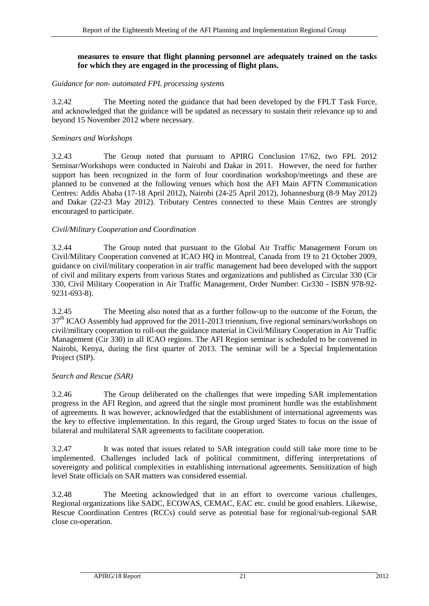### **measures to ensure that flight planning personnel are adequately trained on the tasks for which they are engaged in the processing of flight plans.**

# *Guidance for non- automated FPL processing systems*

3.2.42 The Meeting noted the guidance that had been developed by the FPLT Task Force, and acknowledged that the guidance will be updated as necessary to sustain their relevance up to and beyond 15 November 2012 where necessary.

# *Seminars and Workshops*

3.2.43 The Group noted that pursuant to APIRG Conclusion 17/62, two FPL 2012 Seminar/Workshops were conducted in Nairobi and Dakar in 2011. However, the need for further support has been recognized in the form of four coordination workshop/meetings and these are planned to be convened at the following venues which host the AFI Main AFTN Communication Centres: Addis Ababa (17-18 April 2012), Nairobi (24-25 April 2012), Johannesburg (8-9 May 2012) and Dakar (22-23 May 2012). Tributary Centres connected to these Main Centres are strongly encouraged to participate.

# *Civil/Military Cooperation and Coordination*

3.2.44 The Group noted that pursuant to the Global Air Traffic Management Forum on Civil/Military Cooperation convened at ICAO HQ in Montreal, Canada from 19 to 21 October 2009, guidance on civil/military cooperation in air traffic management had been developed with the support of civil and military experts from various States and organizations and published as Circular 330 (Cir 330, Civil Military Cooperation in Air Traffic Management, Order Number: Cir330 - ISBN 978-92- 9231-693-8).

3.2.45 The Meeting also noted that as a further follow-up to the outcome of the Forum, the 37<sup>th</sup> ICAO Assembly had approved for the 2011-2013 triennium, five regional seminars/workshops on civil/military cooperation to roll-out the guidance material in Civil/Military Cooperation in Air Traffic Management (Cir 330) in all ICAO regions. The AFI Region seminar is scheduled to be convened in Nairobi, Kenya, during the first quarter of 2013. The seminar will be a Special Implementation Project (SIP).

# *Search and Rescue (SAR)*

3.2.46 The Group deliberated on the challenges that were impeding SAR implementation progress in the AFI Region, and agreed that the single most prominent hurdle was the establishment of agreements. It was however, acknowledged that the establishment of international agreements was the key to effective implementation. In this regard, the Group urged States to focus on the issue of bilateral and multilateral SAR agreements to facilitate cooperation.

3.2.47 It was noted that issues related to SAR integration could still take more time to be implemented. Challenges included lack of political commitment, differing interpretations of sovereignty and political complexities in establishing international agreements. Sensitization of high level State officials on SAR matters was considered essential.

3.2.48 The Meeting acknowledged that in an effort to overcome various challenges, Regional organizations like SADC, ECOWAS, CEMAC, EAC etc. could be good enablers. Likewise, Rescue Coordination Centres (RCCs) could serve as potential base for regional/sub-regional SAR close co-operation.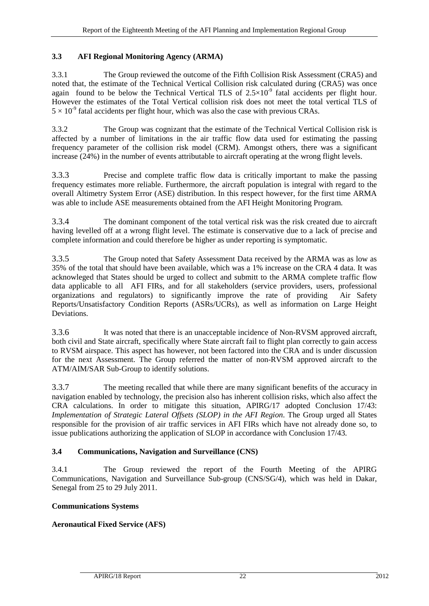# <span id="page-31-0"></span>**3.3 AFI Regional Monitoring Agency (ARMA)**

3.3.1 The Group reviewed the outcome of the Fifth Collision Risk Assessment (CRA5) and noted that, the estimate of the Technical Vertical Collision risk calculated during (CRA5) was once again found to be below the Technical Vertical TLS of  $2.5 \times 10^{-9}$  fatal accidents per flight hour. However the estimates of the Total Vertical collision risk does not meet the total vertical TLS of  $5 \times 10^{-9}$  fatal accidents per flight hour, which was also the case with previous CRAs.

3.3.2 The Group was cognizant that the estimate of the Technical Vertical Collision risk is affected by a number of limitations in the air traffic flow data used for estimating the passing frequency parameter of the collision risk model (CRM). Amongst others, there was a significant increase (24%) in the number of events attributable to aircraft operating at the wrong flight levels.

3.3.3 Precise and complete traffic flow data is critically important to make the passing frequency estimates more reliable. Furthermore, the aircraft population is integral with regard to the overall Altimetry System Error (ASE) distribution. In this respect however, for the first time ARMA was able to include ASE measurements obtained from the AFI Height Monitoring Program.

3.3.4 The dominant component of the total vertical risk was the risk created due to aircraft having levelled off at a wrong flight level. The estimate is conservative due to a lack of precise and complete information and could therefore be higher as under reporting is symptomatic.

3.3.5 The Group noted that Safety Assessment Data received by the ARMA was as low as 35% of the total that should have been available, which was a 1% increase on the CRA 4 data. It was acknowleged that States should be urged to collect and submitt to the ARMA complete traffic flow data applicable to all AFI FIRs, and for all stakeholders (service providers, users, professional organizations and regulators) to significantly improve the rate of providing Air Safety Reports/Unsatisfactory Condition Reports (ASRs/UCRs), as well as information on Large Height Deviations.

3.3.6 It was noted that there is an unacceptable incidence of Non-RVSM approved aircraft, both civil and State aircraft, specifically where State aircraft fail to flight plan correctly to gain access to RVSM airspace. This aspect has however, not been factored into the CRA and is under discussion for the next Assessment. The Group referred the matter of non-RVSM approved aircraft to the ATM/AIM/SAR Sub-Group to identify solutions.

3.3.7 The meeting recalled that while there are many significant benefits of the accuracy in navigation enabled by technology, the precision also has inherent collision risks, which also affect the CRA calculations. In order to mitigate this situation, APIRG/17 adopted Conclusion 17/43: *Implementation of Strategic Lateral Offsets (SLOP) in the AFI Region*. The Group urged all States responsible for the provision of air traffic services in AFI FIRs which have not already done so, to issue publications authorizing the application of SLOP in accordance with Conclusion 17/43.

# <span id="page-31-1"></span>**3.4 Communications, Navigation and Surveillance (CNS)**

3.4.1 The Group reviewed the report of the Fourth Meeting of the APIRG Communications, Navigation and Surveillance Sub-group (CNS/SG/4), which was held in Dakar, Senegal from 25 to 29 July 2011.

# **Communications Systems**

# **Aeronautical Fixed Service (AFS)**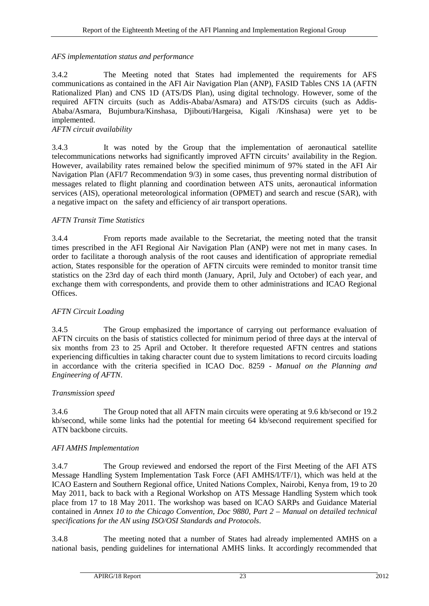# *AFS implementation status and performance*

3.4.2 The Meeting noted that States had implemented the requirements for AFS communications as contained in the AFI Air Navigation Plan (ANP), FASID Tables CNS 1A (AFTN Rationalized Plan) and CNS 1D (ATS/DS Plan), using digital technology. However, some of the required AFTN circuits (such as Addis-Ababa/Asmara) and ATS/DS circuits (such as Addis-Ababa/Asmara, Bujumbura/Kinshasa, Djibouti/Hargeisa, Kigali /Kinshasa) were yet to be implemented.

# *AFTN circuit availability*

3.4.3 It was noted by the Group that the implementation of aeronautical satellite telecommunications networks had significantly improved AFTN circuits' availability in the Region. However, availability rates remained below the specified minimum of 97% stated in the AFI Air Navigation Plan (AFI/7 Recommendation 9/3) in some cases, thus preventing normal distribution of messages related to flight planning and coordination between ATS units, aeronautical information services (AIS), operational meteorological information (OPMET) and search and rescue (SAR), with a negative impact on the safety and efficiency of air transport operations.

# *AFTN Transit Time Statistics*

3.4.4 From reports made available to the Secretariat, the meeting noted that the transit times prescribed in the AFI Regional Air Navigation Plan (ANP) were not met in many cases. In order to facilitate a thorough analysis of the root causes and identification of appropriate remedial action, States responsible for the operation of AFTN circuits were reminded to monitor transit time statistics on the 23rd day of each third month (January, April, July and October) of each year, and exchange them with correspondents, and provide them to other administrations and ICAO Regional Offices.

# *AFTN Circuit Loading*

3.4.5 The Group emphasized the importance of carrying out performance evaluation of AFTN circuits on the basis of statistics collected for minimum period of three days at the interval of six months from 23 to 25 April and October. It therefore requested AFTN centres and stations experiencing difficulties in taking character count due to system limitations to record circuits loading in accordance with the criteria specified in ICAO Doc. 8259 *- Manual on the Planning and Engineering of AFTN*.

# *Transmission speed*

3.4.6 The Group noted that all AFTN main circuits were operating at 9.6 kb/second or 19.2 kb/second, while some links had the potential for meeting 64 kb/second requirement specified for ATN backbone circuits.

# *AFI AMHS Implementation*

3.4.7 The Group reviewed and endorsed the report of the First Meeting of the AFI ATS Message Handling System Implementation Task Force (AFI AMHS/I/TF/1), which was held at the ICAO Eastern and Southern Regional office, United Nations Complex, Nairobi, Kenya from, 19 to 20 May 2011, back to back with a Regional Workshop on ATS Message Handling System which took place from 17 to 18 May 2011. The workshop was based on ICAO SARPs and Guidance Material contained in *Annex 10 to the Chicago Convention, Doc 9880, Part 2 – Manual on detailed technical specifications for the AN using ISO/OSI Standards and Protocols*.

3.4.8 The meeting noted that a number of States had already implemented AMHS on a national basis, pending guidelines for international AMHS links. It accordingly recommended that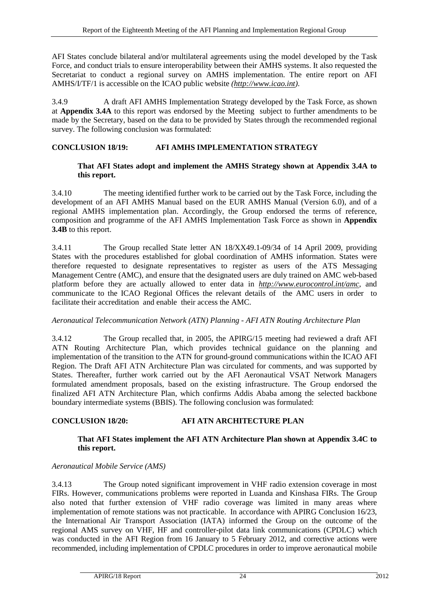AFI States conclude bilateral and/or multilateral agreements using the model developed by the Task Force, and conduct trials to ensure interoperability between their AMHS systems. It also requested the Secretariat to conduct a regional survey on AMHS implementation. The entire report on AFI AMHS/I/TF/1 is accessible on the ICAO public website *[\(http://www.icao.int\)](http://www.icao.int/)*.

3.4.9 A draft AFI AMHS Implementation Strategy developed by the Task Force, as shown at **Appendix 3.4A** to this report was endorsed by the Meeting subject to further amendments to be made by the Secretary, based on the data to be provided by States through the recommended regional survey. The following conclusion was formulated:

# <span id="page-33-0"></span>**CONCLUSION 18/19: AFI AMHS IMPLEMENTATION STRATEGY**

# **That AFI States adopt and implement the AMHS Strategy shown at Appendix 3.4A to this report.**

3.4.10 The meeting identified further work to be carried out by the Task Force, including the development of an AFI AMHS Manual based on the EUR AMHS Manual (Version 6.0), and of a regional AMHS implementation plan. Accordingly, the Group endorsed the terms of reference, composition and programme of the AFI AMHS Implementation Task Force as shown in **Appendix 3.4B** to this report.

3.4.11 The Group recalled State letter AN 18/XX49.1-09/34 of 14 April 2009, providing States with the procedures established for global coordination of AMHS information. States were therefore requested to designate representatives to register as users of the ATS Messaging Management Centre (AMC), and ensure that the designated users are duly trained on AMC web-based platform before they are actually allowed to enter data in *<http://www.eurocontrol.int/amc>*, and communicate to the ICAO Regional Offices the relevant details of the AMC users in order to facilitate their accreditation and enable their access the AMC.

# *Aeronautical Telecommunication Network (ATN) Planning - AFI ATN Routing Architecture Plan*

3.4.12 The Group recalled that, in 2005, the APIRG/15 meeting had reviewed a draft AFI ATN Routing Architecture Plan, which provides technical guidance on the planning and implementation of the transition to the ATN for ground-ground communications within the ICAO AFI Region. The Draft AFI ATN Architecture Plan was circulated for comments, and was supported by States. Thereafter, further work carried out by the AFI Aeronautical VSAT Network Managers formulated amendment proposals, based on the existing infrastructure. The Group endorsed the finalized AFI ATN Architecture Plan, which confirms Addis Ababa among the selected backbone boundary intermediate systems (BBIS). The following conclusion was formulated:

# <span id="page-33-1"></span>**CONCLUSION 18/20: AFI ATN ARCHITECTURE PLAN**

# **That AFI States implement the AFI ATN Architecture Plan shown at Appendix 3.4C to this report.**

# *Aeronautical Mobile Service (AMS)*

3.4.13 The Group noted significant improvement in VHF radio extension coverage in most FIRs. However, communications problems were reported in Luanda and Kinshasa FIRs. The Group also noted that further extension of VHF radio coverage was limited in many areas where implementation of remote stations was not practicable. In accordance with APIRG Conclusion 16/23, the International Air Transport Association (IATA) informed the Group on the outcome of the regional AMS survey on VHF, HF and controller-pilot data link communications (CPDLC) which was conducted in the AFI Region from 16 January to 5 February 2012, and corrective actions were recommended, including implementation of CPDLC procedures in order to improve aeronautical mobile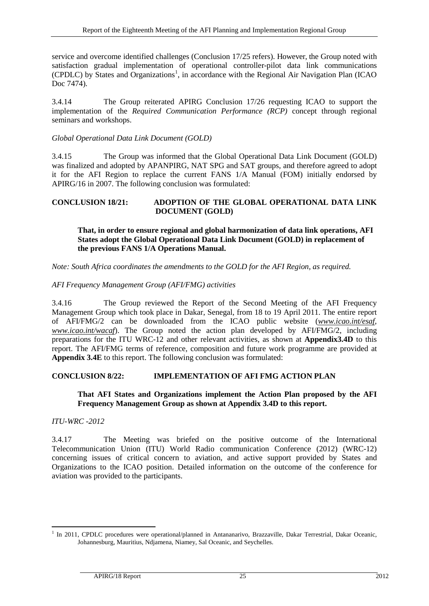service and overcome identified challenges (Conclusion 17/25 refers). However, the Group noted with satisfaction gradual implementation of operational controller-pilot data link communications (CPDLC) by States and Organizations<sup>[1](#page-34-2)</sup>, in accordance with the Regional Air Navigation Plan (ICAO Doc 7474).

3.4.14 The Group reiterated APIRG Conclusion 17/26 requesting ICAO to support the implementation of the *Required Communication Performance (RCP)* concept through regional seminars and workshops.

# *Global Operational Data Link Document (GOLD)*

3.4.15 The Group was informed that the Global Operational Data Link Document (GOLD) was finalized and adopted by APANPIRG, NAT SPG and SAT groups, and therefore agreed to adopt it for the AFI Region to replace the current FANS 1/A Manual (FOM) initially endorsed by APIRG/16 in 2007. The following conclusion was formulated:

### <span id="page-34-0"></span>**CONCLUSION 18/21: ADOPTION OF THE GLOBAL OPERATIONAL DATA LINK DOCUMENT (GOLD)**

### **That, in order to ensure regional and global harmonization of data link operations, AFI States adopt the Global Operational Data Link Document (GOLD) in replacement of the previous FANS 1/A Operations Manual.**

*Note: South Africa coordinates the amendments to the GOLD for the AFI Region, as required.*

#### *AFI Frequency Management Group (AFI/FMG) activities*

3.4.16 The Group reviewed the Report of the Second Meeting of the AFI Frequency Management Group which took place in Dakar, Senegal, from 18 to 19 April 2011. The entire report of AFI/FMG/2 can be downloaded from the ICAO public website (*[www.icao.int/esaf,](http://www.icao.int/esaf) [www.icao.int/wacaf](http://www.icao.int/wacaf)*). The Group noted the action plan developed by AFI/FMG/2, including preparations for the ITU WRC-12 and other relevant activities, as shown at **Appendix3.4D** to this report. The AFI/FMG terms of reference, composition and future work programme are provided at **Appendix 3.4E** to this report. The following conclusion was formulated:

#### <span id="page-34-1"></span>**CONCLUSION 8/22: IMPLEMENTATION OF AFI FMG ACTION PLAN**

#### **That AFI States and Organizations implement the Action Plan proposed by the AFI Frequency Management Group as shown at Appendix 3.4D to this report.**

*ITU-WRC -2012* 

3.4.17 The Meeting was briefed on the positive outcome of the International Telecommunication Union (ITU) World Radio communication Conference (2012) (WRC-12) concerning issues of critical concern to aviation, and active support provided by States and Organizations to the ICAO position. Detailed information on the outcome of the conference for aviation was provided to the participants.

<span id="page-34-2"></span><sup>&</sup>lt;sup>1</sup> In 2011, CPDLC procedures were operational/planned in Antananarivo, Brazzaville, Dakar Terrestrial, Dakar Oceanic, Johannesburg, Mauritius, Ndjamena, Niamey, Sal Oceanic, and Seychelles.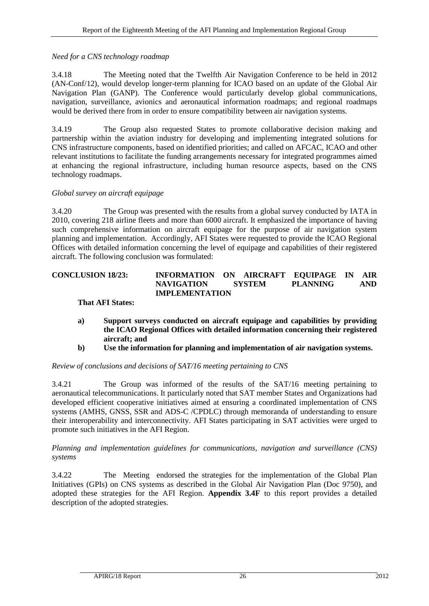# *Need for a CNS technology roadmap*

3.4.18 The Meeting noted that the Twelfth Air Navigation Conference to be held in 2012 (AN-Conf/12), would develop longer-term planning for ICAO based on an update of the Global Air Navigation Plan (GANP). The Conference would particularly develop global communications, navigation, surveillance, avionics and aeronautical information roadmaps; and regional roadmaps would be derived there from in order to ensure compatibility between air navigation systems.

3.4.19 The Group also requested States to promote collaborative decision making and partnership within the aviation industry for developing and implementing integrated solutions for CNS infrastructure components, based on identified priorities; and called on AFCAC, ICAO and other relevant institutions to facilitate the funding arrangements necessary for integrated programmes aimed at enhancing the regional infrastructure, including human resource aspects, based on the CNS technology roadmaps.

# *Global survey on aircraft equipage*

3.4.20 The Group was presented with the results from a global survey conducted by IATA in 2010, covering 218 airline fleets and more than 6000 aircraft. It emphasized the importance of having such comprehensive information on aircraft equipage for the purpose of air navigation system planning and implementation. Accordingly, AFI States were requested to provide the ICAO Regional Offices with detailed information concerning the level of equipage and capabilities of their registered aircraft. The following conclusion was formulated:

# <span id="page-35-0"></span>**CONCLUSION 18/23: INFORMATION ON AIRCRAFT EQUIPAGE IN AIR NAVIGATION SYSTEM PLANNING AND IMPLEMENTATION**

# **That AFI States:**

- **a) Support surveys conducted on aircraft equipage and capabilities by providing the ICAO Regional Offices with detailed information concerning their registered aircraft; and**
- **b) Use the information for planning and implementation of air navigation systems.**

*Review of conclusions and decisions of SAT/16 meeting pertaining to CNS*

3.4.21 The Group was informed of the results of the SAT/16 meeting pertaining to aeronautical telecommunications. It particularly noted that SAT member States and Organizations had developed efficient cooperative initiatives aimed at ensuring a coordinated implementation of CNS systems (AMHS, GNSS, SSR and ADS-C /CPDLC) through memoranda of understanding to ensure their interoperability and interconnectivity. AFI States participating in SAT activities were urged to promote such initiatives in the AFI Region.

*Planning and implementation guidelines for communications, navigation and surveillance (CNS) systems*

3.4.22 The Meeting endorsed the strategies for the implementation of the Global Plan Initiatives (GPIs) on CNS systems as described in the Global Air Navigation Plan (Doc 9750), and adopted these strategies for the AFI Region. **Appendix 3.4F** to this report provides a detailed description of the adopted strategies.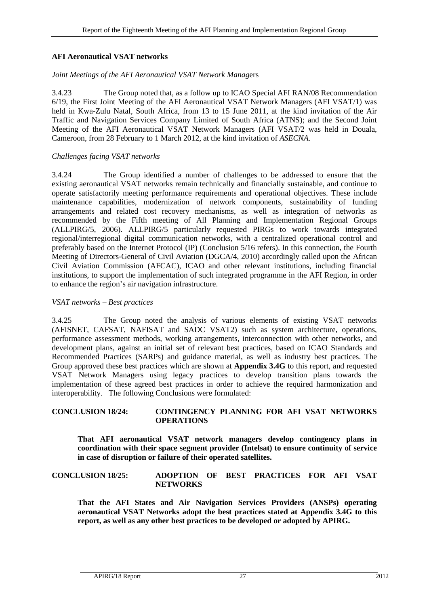### **AFI Aeronautical VSAT networks**

#### *Joint Meetings of the AFI Aeronautical VSAT Network Manag*ers

3.4.23 The Group noted that, as a follow up to ICAO Special AFI RAN/08 Recommendation 6/19, the First Joint Meeting of the AFI Aeronautical VSAT Network Managers (AFI VSAT/1) was held in Kwa-Zulu Natal, South Africa, from 13 to 15 June 2011, at the kind invitation of the Air Traffic and Navigation Services Company Limited of South Africa (ATNS); and the Second Joint Meeting of the AFI Aeronautical VSAT Network Managers (AFI VSAT/2 was held in Douala, Cameroon, from 28 February to 1 March 2012, at the kind invitation of *ASECNA.*

#### *Challenges facing VSAT networks*

3.4.24 The Group identified a number of challenges to be addressed to ensure that the existing aeronautical VSAT networks remain technically and financially sustainable, and continue to operate satisfactorily meeting performance requirements and operational objectives. These include maintenance capabilities, modernization of network components, sustainability of funding arrangements and related cost recovery mechanisms, as well as integration of networks as recommended by the Fifth meeting of All Planning and Implementation Regional Groups (ALLPIRG/5, 2006). ALLPIRG/5 particularly requested PIRGs to work towards integrated regional/interregional digital communication networks, with a centralized operational control and preferably based on the Internet Protocol (IP) (Conclusion 5/16 refers). In this connection, the Fourth Meeting of Directors-General of Civil Aviation (DGCA/4, 2010) accordingly called upon the African Civil Aviation Commission (AFCAC), ICAO and other relevant institutions, including financial institutions, to support the implementation of such integrated programme in the AFI Region, in order to enhance the region's air navigation infrastructure.

#### *VSAT networks – Best practices*

3.4.25 The Group noted the analysis of various elements of existing VSAT networks (AFISNET, CAFSAT, NAFISAT and SADC VSAT2) such as system architecture, operations, performance assessment methods, working arrangements, interconnection with other networks, and development plans, against an initial set of relevant best practices, based on ICAO Standards and Recommended Practices (SARPs) and guidance material, as well as industry best practices. The Group approved these best practices which are shown at **Appendix 3.4G** to this report, and requested VSAT Network Managers using legacy practices to develop transition plans towards the implementation of these agreed best practices in order to achieve the required harmonization and interoperability. The following Conclusions were formulated:

#### <span id="page-36-0"></span>**CONCLUSION 18/24: CONTINGENCY PLANNING FOR AFI VSAT NETWORKS OPERATIONS**

**That AFI aeronautical VSAT network managers develop contingency plans in coordination with their space segment provider (Intelsat) to ensure continuity of service in case of disruption or failure of their operated satellites.** 

### <span id="page-36-1"></span>**CONCLUSION 18/25: ADOPTION OF BEST PRACTICES FOR AFI VSAT NETWORKS**

<span id="page-36-2"></span>**That the AFI States and Air Navigation Services Providers (ANSPs) operating aeronautical VSAT Networks adopt the best practices stated at Appendix 3.4G to this report, as well as any other best practices to be developed or adopted by APIRG.**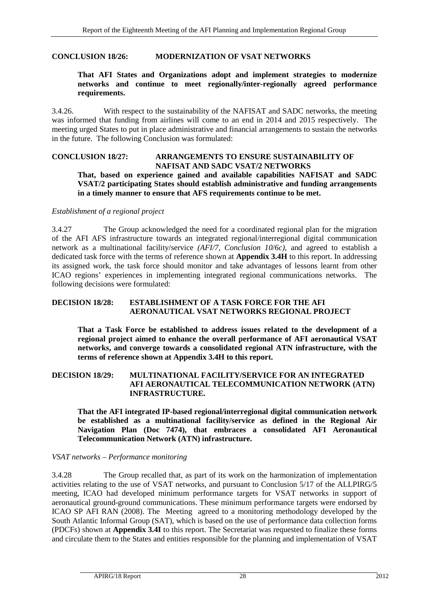#### **CONCLUSION 18/26: MODERNIZATION OF VSAT NETWORKS**

#### **That AFI States and Organizations adopt and implement strategies to modernize networks and continue to meet regionally/inter-regionally agreed performance requirements.**

3.4.26. With respect to the sustainability of the NAFISAT and SADC networks, the meeting was informed that funding from airlines will come to an end in 2014 and 2015 respectively. The meeting urged States to put in place administrative and financial arrangements to sustain the networks in the future. The following Conclusion was formulated:

# <span id="page-37-0"></span>**CONCLUSION 18/27: ARRANGEMENTS TO ENSURE SUSTAINABILITY OF NAFISAT AND SADC VSAT/2 NETWORKS**

**That, based on experience gained and available capabilities NAFISAT and SADC VSAT/2 participating States should establish administrative and funding arrangements in a timely manner to ensure that AFS requirements continue to be met.**

#### *Establishment of a regional project*

3.4.27 The Group acknowledged the need for a coordinated regional plan for the migration of the AFI AFS infrastructure towards an integrated regional/interregional digital communication network as a multinational facility/service *(AFI/7, Conclusion 10/6c)*, and agreed to establish a dedicated task force with the terms of reference shown at **Appendix 3.4H** to this report. In addressing its assigned work, the task force should monitor and take advantages of lessons learnt from other ICAO regions' experiences in implementing integrated regional communications networks. The following decisions were formulated:

# <span id="page-37-1"></span>**DECISION 18/28: ESTABLISHMENT OF A TASK FORCE FOR THE AFI AERONAUTICAL VSAT NETWORKS REGIONAL PROJECT**

**That a Task Force be established to address issues related to the development of a regional project aimed to enhance the overall performance of AFI aeronautical VSAT networks, and converge towards a consolidated regional ATN infrastructure, with the terms of reference shown at Appendix 3.4H to this report.** 

### <span id="page-37-2"></span>**DECISION 18/29: MULTINATIONAL FACILITY/SERVICE FOR AN INTEGRATED AFI AERONAUTICAL TELECOMMUNICATION NETWORK (ATN) INFRASTRUCTURE.**

**That the AFI integrated IP-based regional/interregional digital communication network be established as a multinational facility/service as defined in the Regional Air Navigation Plan (Doc 7474), that embraces a consolidated AFI Aeronautical Telecommunication Network (ATN) infrastructure.**

#### *VSAT networks – Performance monitoring*

3.4.28 The Group recalled that, as part of its work on the harmonization of implementation activities relating to the use of VSAT networks, and pursuant to Conclusion 5/17 of the ALLPIRG/5 meeting, ICAO had developed minimum performance targets for VSAT networks in support of aeronautical ground-ground communications. These minimum performance targets were endorsed by ICAO SP AFI RAN (2008). The Meeting agreed to a monitoring methodology developed by the South Atlantic Informal Group (SAT), which is based on the use of performance data collection forms (PDCFs) shown at **Appendix 3.4I** to this report. The Secretariat was requested to finalize these forms and circulate them to the States and entities responsible for the planning and implementation of VSAT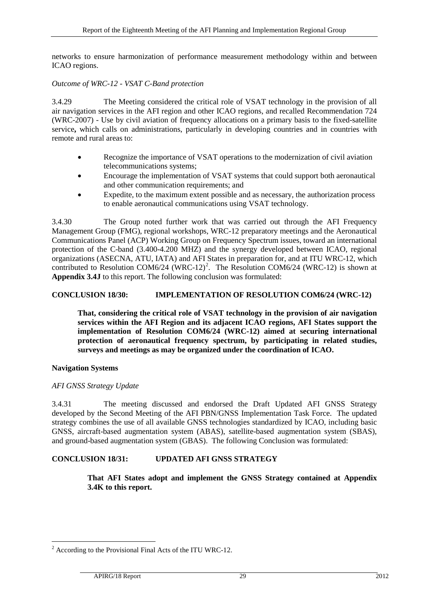networks to ensure harmonization of performance measurement methodology within and between ICAO regions.

#### *Outcome of WRC-12 - VSAT C-Band protection*

3.4.29 The Meeting considered the critical role of VSAT technology in the provision of all air navigation services in the AFI region and other ICAO regions, and recalled Recommendation 724 (WRC-2007) - Use by civil aviation of frequency allocations on a primary basis to the fixed-satellite service**,** which calls on administrations, particularly in developing countries and in countries with remote and rural areas to:

- Recognize the importance of VSAT operations to the modernization of civil aviation telecommunications systems;
- Encourage the implementation of VSAT systems that could support both aeronautical and other communication requirements; and
- Expedite, to the maximum extent possible and as necessary, the authorization process to enable aeronautical communications using VSAT technology.

3.4.30 The Group noted further work that was carried out through the AFI Frequency Management Group (FMG), regional workshops, WRC-12 preparatory meetings and the Aeronautical Communications Panel (ACP) Working Group on Frequency Spectrum issues, toward an international protection of the C-band (3.400-4.200 MHZ) and the synergy developed between ICAO, regional organizations (ASECNA, ATU, IATA) and AFI States in preparation for, and at ITU WRC-12, which contributed to Resolution COM6/[2](#page-38-2)4 (WRC-12)<sup>2</sup>. The Resolution COM6/24 (WRC-12) is shown at **Appendix 3.4J** to this report. The following conclusion was formulated:

### <span id="page-38-0"></span>**CONCLUSION 18/30: IMPLEMENTATION OF RESOLUTION COM6/24 (WRC-12)**

**That, considering the critical role of VSAT technology in the provision of air navigation services within the AFI Region and its adjacent ICAO regions, AFI States support the implementation of Resolution COM6/24 (WRC-12) aimed at securing international protection of aeronautical frequency spectrum, by participating in related studies, surveys and meetings as may be organized under the coordination of ICAO.**

#### **Navigation Systems**

#### *AFI GNSS Strategy Update*

3.4.31 The meeting discussed and endorsed the Draft Updated AFI GNSS Strategy developed by the Second Meeting of the AFI PBN/GNSS Implementation Task Force. The updated strategy combines the use of all available GNSS technologies standardized by ICAO, including basic GNSS, aircraft-based augmentation system (ABAS), satellite-based augmentation system (SBAS), and ground-based augmentation system (GBAS). The following Conclusion was formulated:

#### <span id="page-38-1"></span>**CONCLUSION 18/31: UPDATED AFI GNSS STRATEGY**

**That AFI States adopt and implement the GNSS Strategy contained at Appendix 3.4K to this report.**

<span id="page-38-2"></span><sup>&</sup>lt;sup>2</sup> According to the Provisional Final Acts of the ITU WRC-12.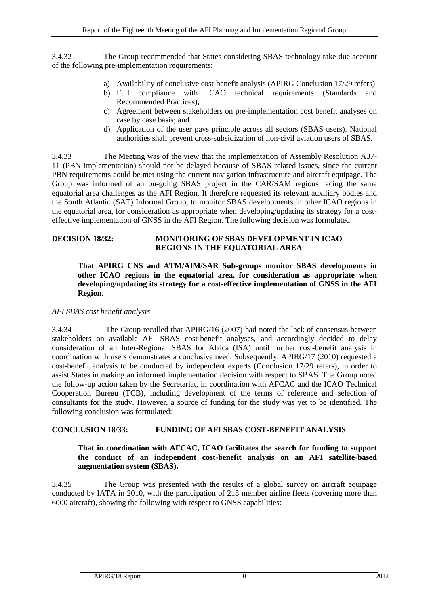3.4.32 The Group recommended that States considering SBAS technology take due account of the following pre-implementation requirements:

- a) Availability of conclusive cost-benefit analysis (APIRG Conclusion 17/29 refers)
- b) Full compliance with ICAO technical requirements (Standards and Recommended Practices);
- c) Agreement between stakeholders on pre-implementation cost benefit analyses on case by case basis; and
- d) Application of the user pays principle across all sectors (SBAS users). National authorities shall prevent cross-subsidization of non-civil aviation users of SBAS.

3.4.33 The Meeting was of the view that the implementation of Assembly Resolution A37- 11 (PBN implementation) should not be delayed because of SBAS related issues, since the current PBN requirements could be met using the current navigation infrastructure and aircraft equipage. The Group was informed of an on-going SBAS project in the CAR/SAM regions facing the same equatorial area challenges as the AFI Region. It therefore requested its relevant auxiliary bodies and the South Atlantic (SAT) Informal Group, to monitor SBAS developments in other ICAO regions in the equatorial area, for consideration as appropriate when developing/updating its strategy for a costeffective implementation of GNSS in the AFI Region. The following decision was formulated:

### <span id="page-39-1"></span>**DECISION 18/32: MONITORING OF SBAS DEVELOPMENT IN ICAO REGIONS IN THE EQUATORIAL AREA**

**That APIRG CNS and ATM/AIM/SAR Sub-groups monitor SBAS developments in other ICAO regions in the equatorial area, for consideration as appropriate when developing/updating its strategy for a cost-effective implementation of GNSS in the AFI Region.**

# *AFI SBAS cost benefit analysis*

3.4.34 The Group recalled that APIRG/16 (2007) had noted the lack of consensus between stakeholders on available AFI SBAS cost-benefit analyses, and accordingly decided to delay consideration of an Inter-Regional SBAS for Africa (ISA) until further cost-benefit analysis in coordination with users demonstrates a conclusive need. Subsequently, APIRG/17 (2010) requested a cost-benefit analysis to be conducted by independent experts (Conclusion 17/29 refers), in order to assist States in making an informed implementation decision with respect to SBAS. The Group noted the follow-up action taken by the Secretariat, in coordination with AFCAC and the ICAO Technical Cooperation Bureau (TCB), including development of the terms of reference and selection of consultants for the study. However, a source of funding for the study was yet to be identified. The following conclusion was formulated:

# <span id="page-39-0"></span>**CONCLUSION 18/33: FUNDING OF AFI SBAS COST-BENEFIT ANALYSIS**

# **That in coordination with AFCAC, ICAO facilitates the search for funding to support the conduct of an independent cost-benefit analysis on an AFI satellite-based augmentation system (SBAS).**

3.4.35 The Group was presented with the results of a global survey on aircraft equipage conducted by IATA in 2010, with the participation of 218 member airline fleets (covering more than 6000 aircraft), showing the following with respect to GNSS capabilities: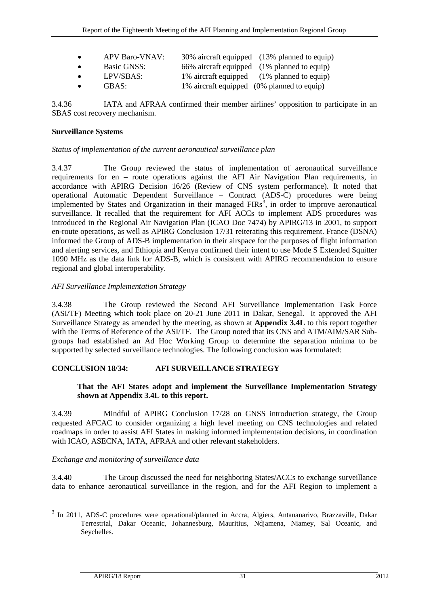| $\bullet$ | <b>APV Baro-VNAV:</b> | 30% aircraft equipped (13% planned to equip) |
|-----------|-----------------------|----------------------------------------------|
| $\bullet$ | Basic GNSS:           | 66% aircraft equipped (1% planned to equip)  |
| $\bullet$ | LPV/SBAS:             | 1% aircraft equipped (1% planned to equip)   |
| $\bullet$ | GBAS:                 | 1% aircraft equipped (0% planned to equip)   |

3.4.36 IATA and AFRAA confirmed their member airlines' opposition to participate in an SBAS cost recovery mechanism.

# **Surveillance Systems**

# *Status of implementation of the current aeronautical surveillance plan*

3.4.37 The Group reviewed the status of implementation of aeronautical surveillance requirements for en – route operations against the AFI Air Navigation Plan requirements, in accordance with APIRG Decision 16/26 (Review of CNS system performance). It noted that operational Automatic Dependent Surveillance – Contract (ADS-C) procedures were being implemented by States and Organization in their managed  $FIRs<sup>3</sup>$  $FIRs<sup>3</sup>$  $FIRs<sup>3</sup>$ , in order to improve aeronautical surveillance. It recalled that the requirement for AFI ACCs to implement ADS procedures was introduced in the Regional Air Navigation Plan (ICAO Doc 7474) by APIRG/13 in 2001, to support en-route operations, as well as APIRG Conclusion 17/31 reiterating this requirement. France (DSNA) informed the Group of ADS-B implementation in their airspace for the purposes of flight information and alerting services, and Ethiopia and Kenya confirmed their intent to use Mode S Extended Squitter 1090 MHz as the data link for ADS-B, which is consistent with APIRG recommendation to ensure regional and global interoperability.

# *AFI Surveillance Implementation Strategy*

3.4.38 The Group reviewed the Second AFI Surveillance Implementation Task Force (ASI/TF) Meeting which took place on 20-21 June 2011 in Dakar, Senegal. It approved the AFI Surveillance Strategy as amended by the meeting, as shown at **Appendix 3.4L** to this report together with the Terms of Reference of the ASI/TF. The Group noted that its CNS and ATM/AIM/SAR Subgroups had established an Ad Hoc Working Group to determine the separation minima to be supported by selected surveillance technologies. The following conclusion was formulated:

# <span id="page-40-0"></span>**CONCLUSION 18/34: AFI SURVEILLANCE STRATEGY**

# **That the AFI States adopt and implement the Surveillance Implementation Strategy shown at Appendix 3.4L to this report.**

3.4.39 Mindful of APIRG Conclusion 17/28 on GNSS introduction strategy, the Group requested AFCAC to consider organizing a high level meeting on CNS technologies and related roadmaps in order to assist AFI States in making informed implementation decisions, in coordination with ICAO, ASECNA, IATA, AFRAA and other relevant stakeholders.

# *Exchange and monitoring of surveillance data*

3.4.40 The Group discussed the need for neighboring States/ACCs to exchange surveillance data to enhance aeronautical surveillance in the region, and for the AFI Region to implement a

<span id="page-40-1"></span><sup>&</sup>lt;sup>3</sup> In 2011, ADS-C procedures were operational/planned in Accra, Algiers, Antananarivo, Brazzaville, Dakar Terrestrial, Dakar Oceanic, Johannesburg, Mauritius, Ndjamena, Niamey, Sal Oceanic, and Seychelles.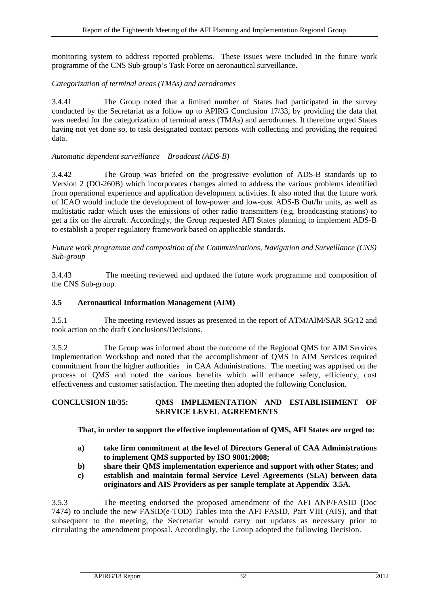monitoring system to address reported problems. These issues were included in the future work programme of the CNS Sub-group's Task Force on aeronautical surveillance.

# *Categorization of terminal areas (TMAs) and aerodromes*

3.4.41 The Group noted that a limited number of States had participated in the survey conducted by the Secretariat as a follow up to APIRG Conclusion 17/33, by providing the data that was needed for the categorization of terminal areas (TMAs) and aerodromes. It therefore urged States having not yet done so, to task designated contact persons with collecting and providing the required data.

# *Automatic dependent surveillance – Broadcast (ADS-B)*

3.4.42 The Group was briefed on the progressive evolution of ADS-B standards up to Version 2 (DO-260B) which incorporates changes aimed to address the various problems identified from operational experience and application development activities. It also noted that the future work of ICAO would include the development of low-power and low-cost ADS-B Out/In units, as well as multistatic radar which uses the emissions of other radio transmitters (e.g. broadcasting stations) to get a fix on the aircraft. Accordingly, the Group requested AFI States planning to implement ADS-B to establish a proper regulatory framework based on applicable standards.

*Future work programme and composition of the Communications, Navigation and Surveillance (CNS) Sub-group*

3.4.43 The meeting reviewed and updated the future work programme and composition of the CNS Sub-group.

# <span id="page-41-0"></span>**3.5 Aeronautical Information Management (AIM)**

3.5.1 The meeting reviewed issues as presented in the report of ATM/AIM/SAR SG/12 and took action on the draft Conclusions/Decisions.

3.5.2 The Group was informed about the outcome of the Regional QMS for AIM Services Implementation Workshop and noted that the accomplishment of QMS in AIM Services required commitment from the higher authorities in CAA Administrations. The meeting was apprised on the process of QMS and noted the various benefits which will enhance safety, efficiency, cost effectiveness and customer satisfaction. The meeting then adopted the following Conclusion.

### <span id="page-41-1"></span>**CONCLUSION 18/35: QMS IMPLEMENTATION AND ESTABLISHMENT OF SERVICE LEVEL AGREEMENTS**

**That, in order to support the effective implementation of QMS, AFI States are urged to:** 

- **a) take firm commitment at the level of Directors General of CAA Administrations to implement QMS supported by ISO 9001:2008;**
- **b) share their QMS implementation experience and support with other States; and**
- **c) establish and maintain formal Service Level Agreements (SLA) between data originators and AIS Providers as per sample template at Appendix 3.5A.**

3.5.3 The meeting endorsed the proposed amendment of the AFI ANP/FASID (Doc 7474) to include the new FASID(e-TOD) Tables into the AFI FASID, Part VIII (AIS), and that subsequent to the meeting, the Secretariat would carry out updates as necessary prior to circulating the amendment proposal. Accordingly, the Group adopted the following Decision.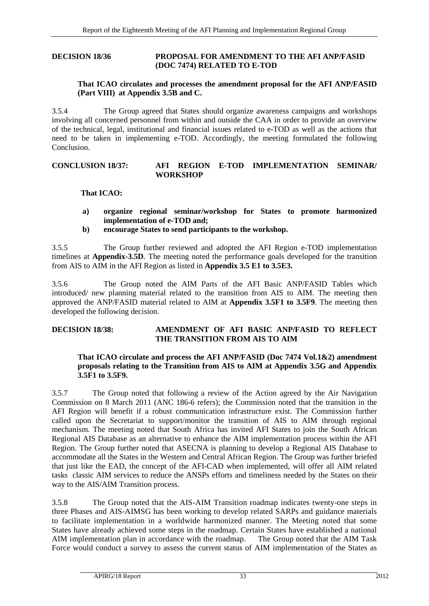#### <span id="page-42-1"></span>**DECISION 18/36 PROPOSAL FOR AMENDMENT TO THE AFI ANP/FASID (DOC 7474) RELATED TO E-TOD**

### **That ICAO circulates and processes the amendment proposal for the AFI ANP/FASID (Part VIII) at Appendix 3.5B and C.**

3.5.4 The Group agreed that States should organize awareness campaigns and workshops involving all concerned personnel from within and outside the CAA in order to provide an overview of the technical, legal, institutional and financial issues related to e-TOD as well as the actions that need to be taken in implementing e-TOD. Accordingly, the meeting formulated the following **Conclusion** 

### <span id="page-42-0"></span>**CONCLUSION 18/37: AFI REGION E-TOD IMPLEMENTATION SEMINAR/ WORKSHOP**

# **That ICAO:**

- **a) organize regional seminar/workshop for States to promote harmonized implementation of e-TOD and;**
- **b) encourage States to send participants to the workshop.**

3.5.5 The Group further reviewed and adopted the AFI Region e-TOD implementation timelines at **Appendix-3.5D**. The meeting noted the performance goals developed for the transition from AIS to AIM in the AFI Region as listed in **Appendix 3.5 E1 to 3.5E3.**

3.5.6 The Group noted the AIM Parts of the AFI Basic ANP/FASID Tables which introduced/ new planning material related to the transition from AIS to AIM. The meeting then approved the ANP/FASID material related to AIM at **Appendix 3.5F1 to 3.5F9**. The meeting then developed the following decision.

### <span id="page-42-2"></span>**DECISION 18/38: AMENDMENT OF AFI BASIC ANP/FASID TO REFLECT THE TRANSITION FROM AIS TO AIM**

# **That ICAO circulate and process the AFI ANP/FASID (Doc 7474 Vol.1&2) amendment proposals relating to the Transition from AIS to AIM at Appendix 3.5G and Appendix 3.5F1 to 3.5F9.**

3.5.7 The Group noted that following a review of the Action agreed by the Air Navigation Commission on 8 March 2011 (ANC 186-6 refers); the Commission noted that the transition in the AFI Region will benefit if a robust communication infrastructure exist. The Commission further called upon the Secretariat to support/monitor the transition of AIS to AIM through regional mechanism. The meeting noted that South Africa has invited AFI States to join the South African Regional AIS Database as an alternative to enhance the AIM implementation process within the AFI Region. The Group further noted that ASECNA is planning to develop a Regional AIS Database to accommodate all the States in the Western and Central African Region. The Group was further briefed that just like the EAD, the concept of the AFI-CAD when implemented, will offer all AIM related tasks classic AIM services to reduce the ANSPs efforts and timeliness needed by the States on their way to the AIS/AIM Transition process.

3.5.8 The Group noted that the AIS-AIM Transition roadmap indicates twenty-one steps in three Phases and AIS-AIMSG has been working to develop related SARPs and guidance materials to facilitate implementation in a worldwide harmonized manner. The Meeting noted that some States have already achieved some steps in the roadmap. Certain States have established a national AIM implementation plan in accordance with the roadmap. The Group noted that the AIM Task AIM implementation plan in accordance with the roadmap. Force would conduct a survey to assess the current status of AIM implementation of the States as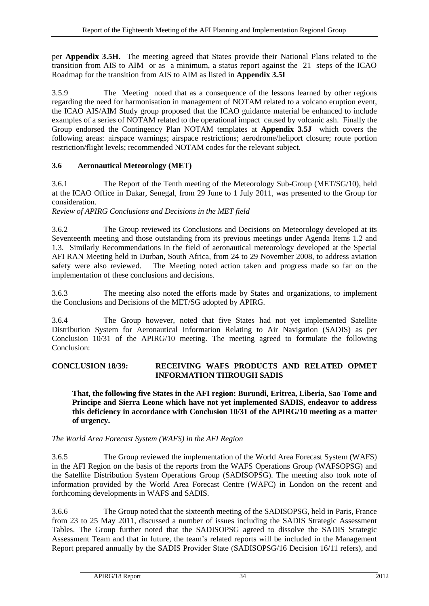per **Appendix 3.5H.** The meeting agreed that States provide their National Plans related to the transition from AIS to AIM or as a minimum, a status report against the 21 steps of the ICAO Roadmap for the transition from AIS to AIM as listed in **Appendix 3.5I** 

3.5.9 The Meeting noted that as a consequence of the lessons learned by other regions regarding the need for harmonisation in management of NOTAM related to a volcano eruption event, the ICAO AIS/AIM Study group proposed that the ICAO guidance material be enhanced to include examples of a series of NOTAM related to the operational impact caused by volcanic ash. Finally the Group endorsed the Contingency Plan NOTAM templates at **Appendix 3.5J** which covers the following areas: airspace warnings; airspace restrictions; aerodrome/heliport closure; route portion restriction/flight levels; recommended NOTAM codes for the relevant subject.

# <span id="page-43-0"></span>**3.6 Aeronautical Meteorology (MET)**

3.6.1 The Report of the Tenth meeting of the Meteorology Sub-Group (MET/SG/10), held at the ICAO Office in Dakar, Senegal, from 29 June to 1 July 2011, was presented to the Group for consideration.

*Review of APIRG Conclusions and Decisions in the MET field*

3.6.2 The Group reviewed its Conclusions and Decisions on Meteorology developed at its Seventeenth meeting and those outstanding from its previous meetings under Agenda Items 1.2 and 1.3. Similarly Recommendations in the field of aeronautical meteorology developed at the Special AFI RAN Meeting held in Durban, South Africa, from 24 to 29 November 2008, to address aviation safety were also reviewed. The Meeting noted action taken and progress made so far on the The Meeting noted action taken and progress made so far on the implementation of these conclusions and decisions.

3.6.3 The meeting also noted the efforts made by States and organizations, to implement the Conclusions and Decisions of the MET/SG adopted by APIRG.

3.6.4 The Group however, noted that five States had not yet implemented Satellite Distribution System for Aeronautical Information Relating to Air Navigation (SADIS) as per Conclusion 10/31 of the APIRG/10 meeting. The meeting agreed to formulate the following Conclusion:

# <span id="page-43-1"></span>**CONCLUSION 18/39: RECEIVING WAFS PRODUCTS AND RELATED OPMET INFORMATION THROUGH SADIS**

**That, the following five States in the AFI region: Burundi, Eritrea, Liberia, Sao Tome and Principe and Sierra Leone which have not yet implemented SADIS, endeavor to address this deficiency in accordance with Conclusion 10/31 of the APIRG/10 meeting as a matter of urgency.**

*The World Area Forecast System (WAFS) in the AFI Region*

3.6.5 The Group reviewed the implementation of the World Area Forecast System (WAFS) in the AFI Region on the basis of the reports from the WAFS Operations Group (WAFSOPSG) and the Satellite Distribution System Operations Group (SADISOPSG). The meeting also took note of information provided by the World Area Forecast Centre (WAFC) in London on the recent and forthcoming developments in WAFS and SADIS.

3.6.6 The Group noted that the sixteenth meeting of the SADISOPSG, held in Paris, France from 23 to 25 May 2011, discussed a number of issues including the SADIS Strategic Assessment Tables. The Group further noted that the SADISOPSG agreed to dissolve the SADIS Strategic Assessment Team and that in future, the team's related reports will be included in the Management Report prepared annually by the SADIS Provider State (SADISOPSG/16 Decision 16/11 refers), and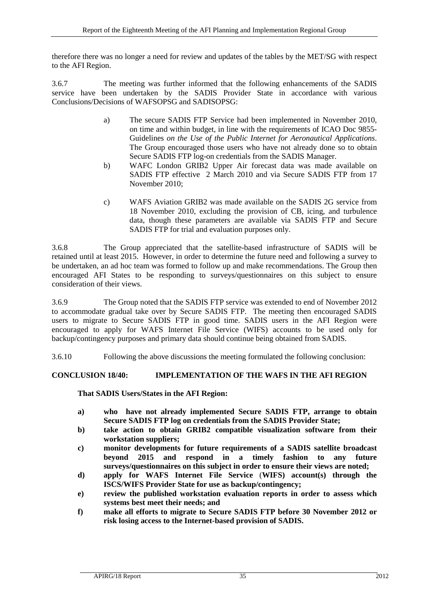therefore there was no longer a need for review and updates of the tables by the MET/SG with respect to the AFI Region.

3.6.7 The meeting was further informed that the following enhancements of the SADIS service have been undertaken by the SADIS Provider State in accordance with various Conclusions/Decisions of WAFSOPSG and SADISOPSG:

- a) The secure SADIS FTP Service had been implemented in November 2010, on time and within budget, in line with the requirements of ICAO Doc 9855- Guidelines *on the Use of the Public Internet for Aeronautical Applications*. The Group encouraged those users who have not already done so to obtain Secure SADIS FTP log-on credentials from the SADIS Manager.
- b) WAFC London GRIB2 Upper Air forecast data was made available on SADIS FTP effective 2 March 2010 and via Secure SADIS FTP from 17 November 2010;
- c) WAFS Aviation GRIB2 was made available on the SADIS 2G service from 18 November 2010, excluding the provision of CB, icing, and turbulence data, though these parameters are available via SADIS FTP and Secure SADIS FTP for trial and evaluation purposes only.

3.6.8 The Group appreciated that the satellite-based infrastructure of SADIS will be retained until at least 2015. However, in order to determine the future need and following a survey to be undertaken, an ad hoc team was formed to follow up and make recommendations. The Group then encouraged AFI States to be responding to surveys/questionnaires on this subject to ensure consideration of their views.

3.6.9 The Group noted that the SADIS FTP service was extended to end of November 2012 to accommodate gradual take over by Secure SADIS FTP. The meeting then encouraged SADIS users to migrate to Secure SADIS FTP in good time. SADIS users in the AFI Region were encouraged to apply for WAFS Internet File Service (WIFS) accounts to be used only for backup/contingency purposes and primary data should continue being obtained from SADIS.

3.6.10 Following the above discussions the meeting formulated the following conclusion:

# <span id="page-44-0"></span>**CONCLUSION 18/40: IMPLEMENTATION OF THE WAFS IN THE AFI REGION**

# **That SADIS Users/States in the AFI Region:**

- **a) who have not already implemented Secure SADIS FTP, arrange to obtain Secure SADIS FTP log on credentials from the SADIS Provider State;**
- **b) take action to obtain GRIB2 compatible visualization software from their workstation suppliers;**
- **c) monitor developments for future requirements of a SADIS satellite broadcast beyond 2015 and respond in a timely fashion to any future surveys/questionnaires on this subject in order to ensure their views are noted;**
- **d) apply for WAFS Internet File Service** (**WIFS) account(s) through the ISCS/WIFS Provider State for use as backup/contingency;**
- **e) review the published workstation evaluation reports in order to assess which systems best meet their needs; and**
- **f) make all efforts to migrate to Secure SADIS FTP before 30 November 2012 or risk losing access to the Internet-based provision of SADIS.**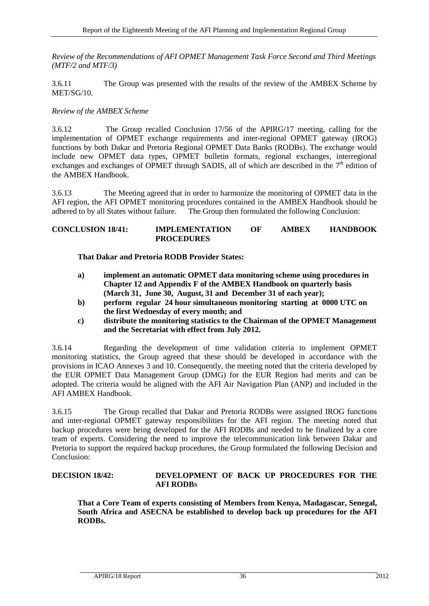*Review of the Recommendations of AFI OPMET Management Task Force Second and Third Meetings (MTF/2 and MTF/3)*

3.6.11 The Group was presented with the results of the review of the AMBEX Scheme by MET/SG/10.

### *Review of the AMBEX Scheme*

3.6.12 The Group recalled Conclusion 17/56 of the APIRG/17 meeting, calling for the implementation of OPMET exchange requirements and inter-regional OPMET gateway (IROG) functions by both Dakar and Pretoria Regional OPMET Data Banks (RODBs). The exchange would include new OPMET data types, OPMET bulletin formats, regional exchanges, interregional exchanges and exchanges of OPMET through SADIS, all of which are described in the  $7<sup>th</sup>$  edition of the AMBEX Handbook.

3.6.13 The Meeting agreed that in order to harmonize the monitoring of OPMET data in the AFI region, the AFI OPMET monitoring procedures contained in the AMBEX Handbook should be adhered to by all States without failure. The Group then formulated the following Conclusion: The Group then formulated the following Conclusion:

### <span id="page-45-0"></span>**CONCLUSION 18/41: IMPLEMENTATION OF AMBEX HANDBOOK PROCEDURES**

**That Dakar and Pretoria RODB Provider States:**

- **a) implement an automatic OPMET data monitoring scheme using procedures in Chapter 12 and Appendix F of the AMBEX Handbook on quarterly basis (March 31, June 30, August, 31 and December 31 of each year);**
- **b) perform regular 24 hour simultaneous monitoring starting at 0000 UTC on the first Wednesday of every month; and**
- **c) distribute the monitoring statistics to the Chairman of the OPMET Management and the Secretariat with effect from July 2012.**

3.6.14 Regarding the development of time validation criteria to implement OPMET monitoring statistics, the Group agreed that these should be developed in accordance with the provisions in ICAO Annexes 3 and 10. Consequently, the meeting noted that the criteria developed by the EUR OPMET Data Management Group (DMG) for the EUR Region had merits and can be adopted. The criteria would be aligned with the AFI Air Navigation Plan (ANP) and included in the AFI AMBEX Handbook.

3.6.15 The Group recalled that Dakar and Pretoria RODBs were assigned IROG functions and inter-regional OPMET gateway responsibilities for the AFI region. The meeting noted that backup procedures were being developed for the AFI RODBs and needed to be finalized by a core team of experts. Considering the need to improve the telecommunication link between Dakar and Pretoria to support the required backup procedures, the Group formulated the following Decision and Conclusion:

#### <span id="page-45-2"></span>**DECISION 18/42: DEVELOPMENT OF BACK UP PROCEDURES FOR THE AFI RODBS**

<span id="page-45-1"></span>**That a Core Team of experts consisting of Members from Kenya, Madagascar, Senegal, South Africa and ASECNA be established to develop back up procedures for the AFI RODBs.**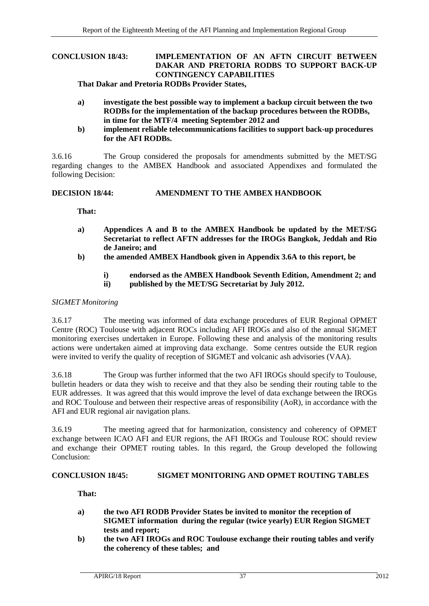# **CONCLUSION 18/43: IMPLEMENTATION OF AN AFTN CIRCUIT BETWEEN DAKAR AND PRETORIA RODBS TO SUPPORT BACK-UP CONTINGENCY CAPABILITIES**

**That Dakar and Pretoria RODBs Provider States,** 

- **a) investigate the best possible way to implement a backup circuit between the two RODBs for the implementation of the backup procedures between the RODBs, in time for the MTF/4 meeting September 2012 and**
- **b) implement reliable telecommunications facilities to support back-up procedures for the AFI RODBs.**

3.6.16 The Group considered the proposals for amendments submitted by the MET/SG regarding changes to the AMBEX Handbook and associated Appendixes and formulated the following Decision:

#### <span id="page-46-1"></span>**DECISION 18/44: AMENDMENT TO THE AMBEX HANDBOOK**

**That:**

- **a) Appendices A and B to the AMBEX Handbook be updated by the MET/SG Secretariat to reflect AFTN addresses for the IROGs Bangkok, Jeddah and Rio de Janeiro; and**
- **b) the amended AMBEX Handbook given in Appendix 3.6A to this report, be**
	- **i) endorsed as the AMBEX Handbook Seventh Edition, Amendment 2; and**
	- **ii) published by the MET/SG Secretariat by July 2012.**

### *SIGMET Monitoring*

3.6.17 The meeting was informed of data exchange procedures of EUR Regional OPMET Centre (ROC) Toulouse with adjacent ROCs including AFI IROGs and also of the annual SIGMET monitoring exercises undertaken in Europe. Following these and analysis of the monitoring results actions were undertaken aimed at improving data exchange. Some centres outside the EUR region were invited to verify the quality of reception of SIGMET and volcanic ash advisories (VAA).

3.6.18 The Group was further informed that the two AFI IROGs should specify to Toulouse, bulletin headers or data they wish to receive and that they also be sending their routing table to the EUR addresses. It was agreed that this would improve the level of data exchange between the IROGs and ROC Toulouse and between their respective areas of responsibility (AoR), in accordance with the AFI and EUR regional air navigation plans.

3.6.19 The meeting agreed that for harmonization, consistency and coherency of OPMET exchange between ICAO AFI and EUR regions, the AFI IROGs and Toulouse ROC should review and exchange their OPMET routing tables. In this regard, the Group developed the following Conclusion:

#### <span id="page-46-0"></span>**CONCLUSION 18/45: SIGMET MONITORING AND OPMET ROUTING TABLES**

**That:**

- **a) the two AFI RODB Provider States be invited to monitor the reception of SIGMET information during the regular (twice yearly) EUR Region SIGMET tests and report;**
- **b) the two AFI IROGs and ROC Toulouse exchange their routing tables and verify the coherency of these tables; and**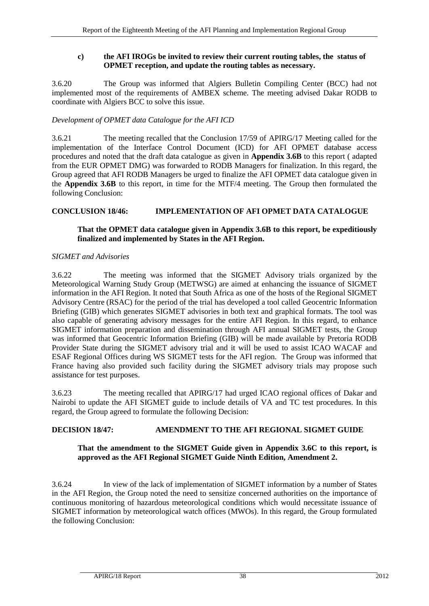# **c) the AFI IROGs be invited to review their current routing tables, the status of OPMET reception, and update the routing tables as necessary.**

3.6.20 The Group was informed that Algiers Bulletin Compiling Center (BCC) had not implemented most of the requirements of AMBEX scheme. The meeting advised Dakar RODB to coordinate with Algiers BCC to solve this issue.

# *Development of OPMET data Catalogue for the AFI ICD*

3.6.21 The meeting recalled that the Conclusion 17/59 of APIRG/17 Meeting called for the implementation of the Interface Control Document (ICD) for AFI OPMET database access procedures and noted that the draft data catalogue as given in **Appendix 3.6B** to this report ( adapted from the EUR OPMET DMG) was forwarded to RODB Managers for finalization. In this regard, the Group agreed that AFI RODB Managers be urged to finalize the AFI OPMET data catalogue given in the **Appendix 3.6B** to this report, in time for the MTF/4 meeting. The Group then formulated the following Conclusion:

# <span id="page-47-0"></span>**CONCLUSION 18/46: IMPLEMENTATION OF AFI OPMET DATA CATALOGUE**

# **That the OPMET data catalogue given in Appendix 3.6B to this report, be expeditiously finalized and implemented by States in the AFI Region.**

# *SIGMET and Advisories*

3.6.22 The meeting was informed that the SIGMET Advisory trials organized by the Meteorological Warning Study Group (METWSG) are aimed at enhancing the issuance of SIGMET information in the AFI Region. It noted that South Africa as one of the hosts of the Regional SIGMET Advisory Centre (RSAC) for the period of the trial has developed a tool called Geocentric Information Briefing (GIB) which generates SIGMET advisories in both text and graphical formats. The tool was also capable of generating advisory messages for the entire AFI Region. In this regard, to enhance SIGMET information preparation and dissemination through AFI annual SIGMET tests, the Group was informed that Geocentric Information Briefing (GIB) will be made available by Pretoria RODB Provider State during the SIGMET advisory trial and it will be used to assist ICAO WACAF and ESAF Regional Offices during WS SIGMET tests for the AFI region. The Group was informed that France having also provided such facility during the SIGMET advisory trials may propose such assistance for test purposes.

3.6.23 The meeting recalled that APIRG/17 had urged ICAO regional offices of Dakar and Nairobi to update the AFI SIGMET guide to include details of VA and TC test procedures. In this regard, the Group agreed to formulate the following Decision:

# <span id="page-47-2"></span>**DECISION 18/47: AMENDMENT TO THE AFI REGIONAL SIGMET GUIDE**

# **That the amendment to the SIGMET Guide given in Appendix 3.6C to this report, is approved as the AFI Regional SIGMET Guide Ninth Edition, Amendment 2.**

<span id="page-47-1"></span>3.6.24 In view of the lack of implementation of SIGMET information by a number of States in the AFI Region, the Group noted the need to sensitize concerned authorities on the importance of continuous monitoring of hazardous meteorological conditions which would necessitate issuance of SIGMET information by meteorological watch offices (MWOs). In this regard, the Group formulated the following Conclusion: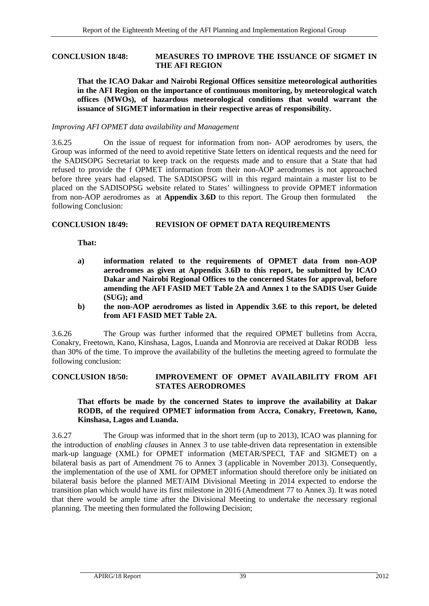#### **CONCLUSION 18/48: MEASURES TO IMPROVE THE ISSUANCE OF SIGMET IN THE AFI REGION**

**That the ICAO Dakar and Nairobi Regional Offices sensitize meteorological authorities in the AFI Region on the importance of continuous monitoring, by meteorological watch offices (MWOs), of hazardous meteorological conditions that would warrant the issuance of SIGMET information in their respective areas of responsibility.**

#### *Improving AFI OPMET data availability and Management*

3.6.25 On the issue of request for information from non- AOP aerodromes by users, the Group was informed of the need to avoid repetitive State letters on identical requests and the need for the SADISOPG Secretariat to keep track on the requests made and to ensure that a State that had refused to provide the f OPMET information from their non-AOP aerodromes is not approached before three years had elapsed. The SADISOPSG will in this regard maintain a master list to be placed on the SADISOPSG website related to States' willingness to provide OPMET information from non-AOP aerodromes as at **Appendix 3.6D** to this report. The Group then formulated the following Conclusion:

#### <span id="page-48-0"></span>**CONCLUSION 18/49: REVISION OF OPMET DATA REQUIREMENTS**

**That:**

- **a) information related to the requirements of OPMET data from non-AOP aerodromes as given at Appendix 3.6D to this report, be submitted by ICAO Dakar and Nairobi Regional Offices to the concerned States for approval, before amending the AFI FASID MET Table 2A and Annex 1 to the SADIS User Guide (SUG); and**
- **b) the non-AOP aerodromes as listed in Appendix 3.6E to this report, be deleted from AFI FASID MET Table 2A.**

3.6.26 The Group was further informed that the required OPMET bulletins from Accra, Conakry, Freetown, Kano, Kinshasa, Lagos, Luanda and Monrovia are received at Dakar RODB less than 30% of the time. To improve the availability of the bulletins the meeting agreed to formulate the following conclusion:

### <span id="page-48-1"></span>**CONCLUSION 18/50: IMPROVEMENT OF OPMET AVAILABILITY FROM AFI STATES AERODROMES**

### **That efforts be made by the concerned States to improve the availability at Dakar RODB, of the required OPMET information from Accra, Conakry, Freetown, Kano, Kinshasa, Lagos and Luanda.**

<span id="page-48-2"></span>3.6.27 The Group was informed that in the short term (up to 2013), ICAO was planning for the introduction of *enabling clauses* in Annex 3 to use table-driven data representation in extensible mark-up language (XML) for OPMET information (METAR/SPECI, TAF and SIGMET) on a bilateral basis as part of Amendment 76 to Annex 3 (applicable in November 2013). Consequently, the implementation of the use of XML for OPMET information should therefore only be initiated on bilateral basis before the planned MET/AIM Divisional Meeting in 2014 expected to endorse the transition plan which would have its first milestone in 2016 (Amendment 77 to Annex 3). It was noted that there would be ample time after the Divisional Meeting to undertake the necessary regional planning. The meeting then formulated the following Decision;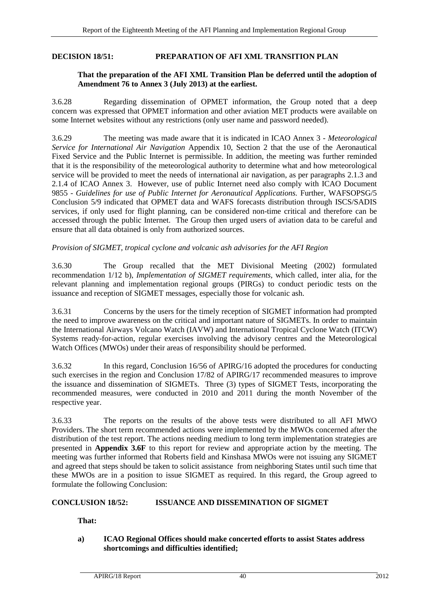#### **DECISION 18/51: PREPARATION OF AFI XML TRANSITION PLAN**

#### **That the preparation of the AFI XML Transition Plan be deferred until the adoption of Amendment 76 to Annex 3 (July 2013) at the earliest.**

3.6.28 Regarding dissemination of OPMET information, the Group noted that a deep concern was expressed that OPMET information and other aviation MET products were available on some Internet websites without any restrictions (only user name and password needed).

3.6.29 The meeting was made aware that it is indicated in ICAO Annex 3 - *Meteorological Service for International Air Navigation* Appendix 10, Section 2 that the use of the Aeronautical Fixed Service and the Public Internet is permissible. In addition, the meeting was further reminded that it is the responsibility of the meteorological authority to determine what and how meteorological service will be provided to meet the needs of international air navigation, as per paragraphs 2.1.3 and 2.1.4 of ICAO Annex 3. However, use of public Internet need also comply with ICAO Document 9855 - *Guidelines for use of Public Internet for Aeronautical Applications.* Further, WAFSOPSG/5 Conclusion 5/9 indicated that OPMET data and WAFS forecasts distribution through ISCS/SADIS services, if only used for flight planning, can be considered non-time critical and therefore can be accessed through the public Internet. The Group then urged users of aviation data to be careful and ensure that all data obtained is only from authorized sources.

#### *Provision of SIGMET, tropical cyclone and volcanic ash advisories for the AFI Region*

3.6.30 The Group recalled that the MET Divisional Meeting (2002) formulated recommendation 1/12 b), *Implementation of SIGMET requirements*, which called, inter alia, for the relevant planning and implementation regional groups (PIRGs) to conduct periodic tests on the issuance and reception of SIGMET messages, especially those for volcanic ash.

3.6.31 Concerns by the users for the timely reception of SIGMET information had prompted the need to improve awareness on the critical and important nature of SIGMETs. In order to maintain the International Airways Volcano Watch (IAVW) and International Tropical Cyclone Watch (ITCW) Systems ready-for-action, regular exercises involving the advisory centres and the Meteorological Watch Offices (MWOs) under their areas of responsibility should be performed.

3.6.32 In this regard, Conclusion 16/56 of APIRG/16 adopted the procedures for conducting such exercises in the region and Conclusion 17/82 of APIRG/17 recommended measures to improve the issuance and dissemination of SIGMETs. Three (3) types of SIGMET Tests, incorporating the recommended measures, were conducted in 2010 and 2011 during the month November of the respective year.

3.6.33 The reports on the results of the above tests were distributed to all AFI MWO Providers. The short term recommended actions were implemented by the MWOs concerned after the distribution of the test report. The actions needing medium to long term implementation strategies are presented in **Appendix 3.6F** to this report for review and appropriate action by the meeting. The meeting was further informed that Roberts field and Kinshasa MWOs were not issuing any SIGMET and agreed that steps should be taken to solicit assistance from neighboring States until such time that these MWOs are in a position to issue SIGMET as required. In this regard, the Group agreed to formulate the following Conclusion:

# <span id="page-49-0"></span>**CONCLUSION 18/52: ISSUANCE AND DISSEMINATION OF SIGMET**

**That:** 

**a) ICAO Regional Offices should make concerted efforts to assist States address shortcomings and difficulties identified;**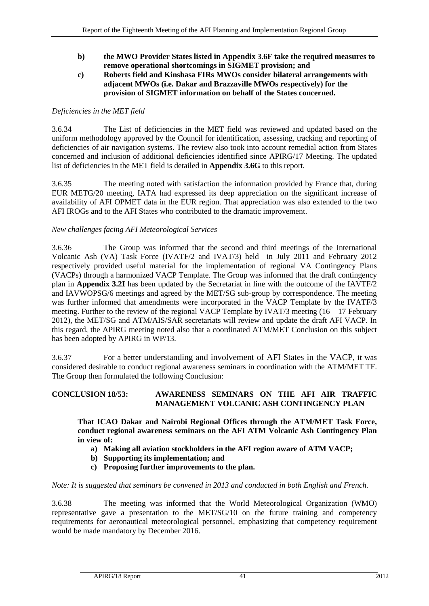- **b) the MWO Provider States listed in Appendix 3.6F take the required measures to remove operational shortcomings in SIGMET provision; and**
- **c) Roberts field and Kinshasa FIRs MWOs consider bilateral arrangements with adjacent MWOs (i.e. Dakar and Brazzaville MWOs respectively) for the provision of SIGMET information on behalf of the States concerned.**

# *Deficiencies in the MET field*

3.6.34 The List of deficiencies in the MET field was reviewed and updated based on the uniform methodology approved by the Council for identification, assessing, tracking and reporting of deficiencies of air navigation systems. The review also took into account remedial action from States concerned and inclusion of additional deficiencies identified since APIRG/17 Meeting. The updated list of deficiencies in the MET field is detailed in **Appendix 3.6G** to this report.

3.6.35 The meeting noted with satisfaction the information provided by France that, during EUR METG/20 meeting, IATA had expressed its deep appreciation on the significant increase of availability of AFI OPMET data in the EUR region. That appreciation was also extended to the two AFI IROGs and to the AFI States who contributed to the dramatic improvement.

# *New challenges facing AFI Meteorological Services*

3.6.36 The Group was informed that the second and third meetings of the International Volcanic Ash (VA) Task Force (IVATF/2 and IVAT/3) held in July 2011 and February 2012 respectively provided useful material for the implementation of regional VA Contingency Plans (VACPs) through a harmonized VACP Template. The Group was informed that the draft contingency plan in **Appendix 3.2I** has been updated by the Secretariat in line with the outcome of the IAVTF/2 and IAVWOPSG/6 meetings and agreed by the MET/SG sub-group by correspondence. The meeting was further informed that amendments were incorporated in the VACP Template by the IVATF/3 meeting. Further to the review of the regional VACP Template by IVAT/3 meeting  $(16 - 17$  February 2012), the MET/SG and ATM/AIS/SAR secretariats will review and update the draft AFI VACP. In this regard, the APIRG meeting noted also that a coordinated ATM/MET Conclusion on this subject has been adopted by APIRG in WP/13.

3.6.37 For a better understanding and involvement of AFI States in the VACP, it was considered desirable to conduct regional awareness seminars in coordination with the ATM/MET TF. The Group then formulated the following Conclusion:

# <span id="page-50-0"></span>**CONCLUSION 18/53: AWARENESS SEMINARS ON THE AFI AIR TRAFFIC MANAGEMENT VOLCANIC ASH CONTINGENCY PLAN**

**That ICAO Dakar and Nairobi Regional Offices through the ATM/MET Task Force, conduct regional awareness seminars on the AFI ATM Volcanic Ash Contingency Plan in view of:**

- **a) Making all aviation stockholders in the AFI region aware of ATM VACP;**
- **b) Supporting its implementation; and**
- **c) Proposing further improvements to the plan.**

# *Note: It is suggested that seminars be convened in 2013 and conducted in both English and French.*

3.6.38 The meeting was informed that the World Meteorological Organization (WMO) representative gave a presentation to the MET/SG/10 on the future training and competency requirements for aeronautical meteorological personnel, emphasizing that competency requirement would be made mandatory by December 2016.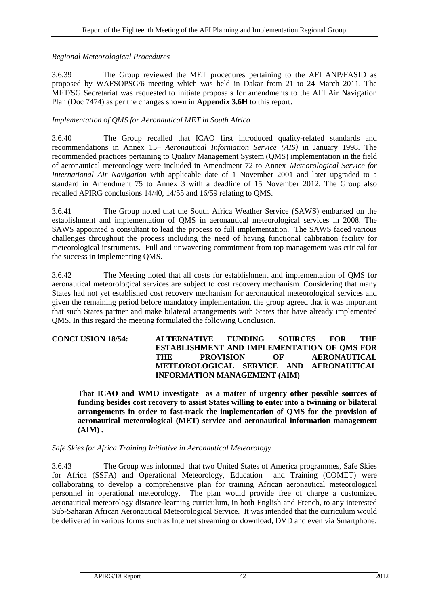# *Regional Meteorological Procedures*

3.6.39 The Group reviewed the MET procedures pertaining to the AFI ANP/FASID as proposed by WAFSOPSG/6 meeting which was held in Dakar from 21 to 24 March 2011. The MET/SG Secretariat was requested to initiate proposals for amendments to the AFI Air Navigation Plan (Doc 7474) as per the changes shown in **Appendix 3.6H** to this report.

# *Implementation of QMS for Aeronautical MET in South Africa*

3.6.40 The Group recalled that ICAO first introduced quality-related standards and recommendations in Annex 15– *Aeronautical Information Service (AIS)* in January 1998. The recommended practices pertaining to Quality Management System (QMS) implementation in the field of aeronautical meteorology were included in Amendment 72 to Annex–*Meteorological Service for International Air Navigation* with applicable date of 1 November 2001 and later upgraded to a standard in Amendment 75 to Annex 3 with a deadline of 15 November 2012. The Group also recalled APIRG conclusions 14/40, 14/55 and 16/59 relating to QMS.

3.6.41 The Group noted that the South Africa Weather Service (SAWS) embarked on the establishment and implementation of QMS in aeronautical meteorological services in 2008. The SAWS appointed a consultant to lead the process to full implementation. The SAWS faced various challenges throughout the process including the need of having functional calibration facility for meteorological instruments. Full and unwavering commitment from top management was critical for the success in implementing QMS.

3.6.42 The Meeting noted that all costs for establishment and implementation of QMS for aeronautical meteorological services are subject to cost recovery mechanism. Considering that many States had not yet established cost recovery mechanism for aeronautical meteorological services and given the remaining period before mandatory implementation, the group agreed that it was important that such States partner and make bilateral arrangements with States that have already implemented QMS. In this regard the meeting formulated the following Conclusion.

## <span id="page-51-0"></span>**CONCLUSION 18/54: ALTERNATIVE FUNDING SOURCES FOR THE ESTABLISHMENT AND IMPLEMENTATION OF QMS FOR THE PROVISION OF AERONAUTICAL METEOROLOGICAL SERVICE AND AERONAUTICAL INFORMATION MANAGEMENT (AIM)**

**That ICAO and WMO investigate as a matter of urgency other possible sources of funding besides cost recovery to assist States willing to enter into a twinning or bilateral arrangements in order to fast-track the implementation of QMS for the provision of aeronautical meteorological (MET) service and aeronautical information management (AIM) .** 

# *Safe Skies for Africa Training Initiative in Aeronautical Meteorology*

3.6.43 The Group was informed that two United States of America programmes, Safe Skies for Africa (SSFA) and Operational Meteorology, Education and Training (COMET) were collaborating to develop a comprehensive plan for training African aeronautical meteorological personnel in operational meteorology. The plan would provide free of charge a customized aeronautical meteorology distance-learning curriculum, in both English and French, to any interested Sub-Saharan African Aeronautical Meteorological Service. It was intended that the curriculum would be delivered in various forms such as Internet streaming or download, DVD and even via Smartphone.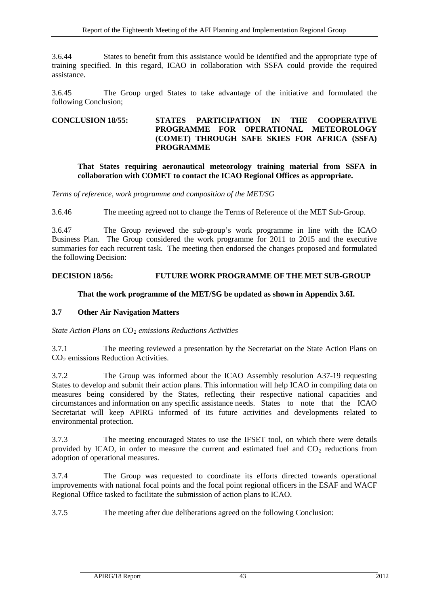3.6.44 States to benefit from this assistance would be identified and the appropriate type of training specified. In this regard, ICAO in collaboration with SSFA could provide the required assistance.

3.6.45 The Group urged States to take advantage of the initiative and formulated the following Conclusion;

### <span id="page-52-1"></span>**CONCLUSION 18/55: STATES PARTICIPATION IN THE COOPERATIVE PROGRAMME FOR OPERATIONAL METEOROLOGY (COMET) THROUGH SAFE SKIES FOR AFRICA (SSFA) PROGRAMME**

#### **That States requiring aeronautical meteorology training material from SSFA in collaboration with COMET to contact the ICAO Regional Offices as appropriate.**

*Terms of reference, work programme and composition of the MET/SG*

3.6.46 The meeting agreed not to change the Terms of Reference of the MET Sub-Group.

3.6.47 The Group reviewed the sub-group's work programme in line with the ICAO Business Plan. The Group considered the work programme for 2011 to 2015 and the executive summaries for each recurrent task. The meeting then endorsed the changes proposed and formulated the following Decision:

#### <span id="page-52-3"></span>**DECISION 18/56: FUTURE WORK PROGRAMME OF THE MET SUB-GROUP**

#### **That the work programme of the MET/SG be updated as shown in Appendix 3.6I.**

#### <span id="page-52-0"></span>**3.7 Other Air Navigation Matters**

*State Action Plans on CO2 emissions Reductions Activities*

3.7.1 The meeting reviewed a presentation by the Secretariat on the State Action Plans on CO2 emissions Reduction Activities.

3.7.2 The Group was informed about the ICAO Assembly resolution A37-19 requesting States to develop and submit their action plans. This information will help ICAO in compiling data on measures being considered by the States, reflecting their respective national capacities and circumstances and information on any specific assistance needs. States to note that the ICAO Secretariat will keep APIRG informed of its future activities and developments related to environmental protection.

3.7.3 The meeting encouraged States to use the IFSET tool, on which there were details provided by ICAO, in order to measure the current and estimated fuel and  $CO<sub>2</sub>$  reductions from adoption of operational measures.

3.7.4 The Group was requested to coordinate its efforts directed towards operational improvements with national focal points and the focal point regional officers in the ESAF and WACF Regional Office tasked to facilitate the submission of action plans to ICAO.

<span id="page-52-2"></span>3.7.5 The meeting after due deliberations agreed on the following Conclusion: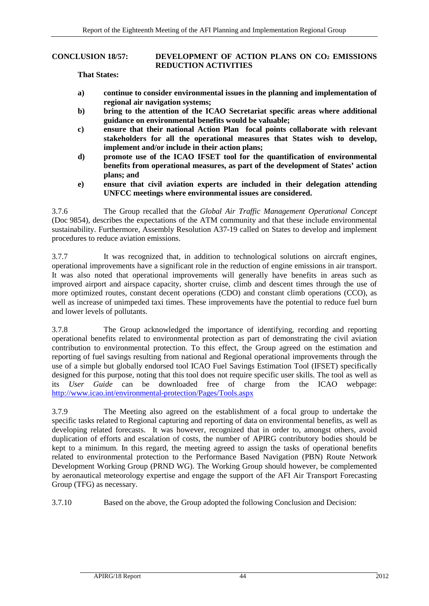### **CONCLUSION 18/57: DEVELOPMENT OF ACTION PLANS ON CO2 EMISSIONS REDUCTION ACTIVITIES**

#### **That States:**

- **a) continue to consider environmental issues in the planning and implementation of regional air navigation systems;**
- **b) bring to the attention of the ICAO Secretariat specific areas where additional guidance on environmental benefits would be valuable;**
- **c) ensure that their national Action Plan focal points collaborate with relevant stakeholders for all the operational measures that States wish to develop, implement and/or include in their action plans;**
- **d) promote use of the ICAO IFSET tool for the quantification of environmental benefits from operational measures, as part of the development of States' action plans; and**
- **e) ensure that civil aviation experts are included in their delegation attending UNFCC meetings where environmental issues are considered.**

3.7.6 The Group recalled that the *Global Air Traffic Management Operational Concept* (Doc 9854), describes the expectations of the ATM community and that these include environmental sustainability. Furthermore, Assembly Resolution A37-19 called on States to develop and implement procedures to reduce aviation emissions.

3.7.7 It was recognized that, in addition to technological solutions on aircraft engines, operational improvements have a significant role in the reduction of engine emissions in air transport. It was also noted that operational improvements will generally have benefits in areas such as improved airport and airspace capacity, shorter cruise, climb and descent times through the use of more optimized routes, constant decent operations (CDO) and constant climb operations (CCO), as well as increase of unimpeded taxi times. These improvements have the potential to reduce fuel burn and lower levels of pollutants.

3.7.8 The Group acknowledged the importance of identifying, recording and reporting operational benefits related to environmental protection as part of demonstrating the civil aviation contribution to environmental protection. To this effect, the Group agreed on the estimation and reporting of fuel savings resulting from national and Regional operational improvements through the use of a simple but globally endorsed tool ICAO Fuel Savings Estimation Tool (IFSET) specifically designed for this purpose, noting that this tool does not require specific user skills. The tool as well as its *User Guide* can be downloaded free of charge from the ICAO webpage: <http://www.icao.int/environmental-protection/Pages/Tools.aspx>

3.7.9 The Meeting also agreed on the establishment of a focal group to undertake the specific tasks related to Regional capturing and reporting of data on environmental benefits, as well as developing related forecasts. It was however, recognized that in order to, amongst others, avoid duplication of efforts and escalation of costs, the number of APIRG contributory bodies should be kept to a minimum. In this regard, the meeting agreed to assign the tasks of operational benefits related to environmental protection to the Performance Based Navigation (PBN) Route Network Development Working Group (PRND WG). The Working Group should however, be complemented by aeronautical meteorology expertise and engage the support of the AFI Air Transport Forecasting Group (TFG) as necessary.

<span id="page-53-0"></span>3.7.10 Based on the above, the Group adopted the following Conclusion and Decision: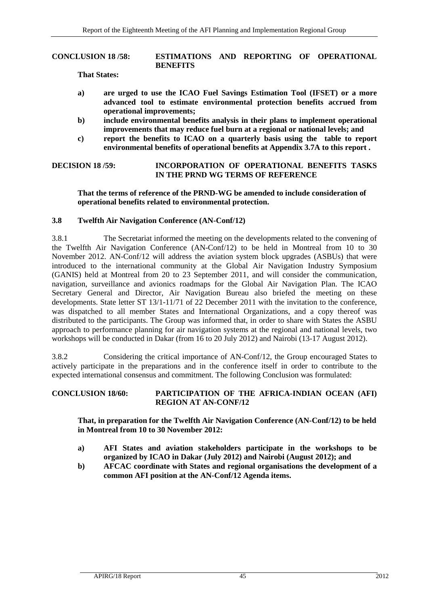#### **CONCLUSION 18 /58: ESTIMATIONS AND REPORTING OF OPERATIONAL BENEFITS**

**That States:**

- **a) are urged to use the ICAO Fuel Savings Estimation Tool (IFSET) or a more advanced tool to estimate environmental protection benefits accrued from operational improvements;**
- **b) include environmental benefits analysis in their plans to implement operational improvements that may reduce fuel burn at a regional or national levels; and**
- **c) report the benefits to ICAO on a quarterly basis using the table to report environmental benefits of operational benefits at Appendix 3.7A to this report .**

# <span id="page-54-1"></span>**DECISION 18 /59: INCORPORATION OF OPERATIONAL BENEFITS TASKS IN THE PRND WG TERMS OF REFERENCE**

#### **That the terms of reference of the PRND-WG be amended to include consideration of operational benefits related to environmental protection.**

#### **3.8 Twelfth Air Navigation Conference (AN-Conf/12)**

3.8.1 The Secretariat informed the meeting on the developments related to the convening of the Twelfth Air Navigation Conference (AN-Conf/12) to be held in Montreal from 10 to 30 November 2012. AN-Conf/12 will address the aviation system block upgrades (ASBUs) that were introduced to the international community at the Global Air Navigation Industry Symposium (GANIS) held at Montreal from 20 to 23 September 2011, and will consider the communication, navigation, surveillance and avionics roadmaps for the Global Air Navigation Plan. The ICAO Secretary General and Director, Air Navigation Bureau also briefed the meeting on these developments. State letter ST 13/1-11/71 of 22 December 2011 with the invitation to the conference, was dispatched to all member States and International Organizations, and a copy thereof was distributed to the participants. The Group was informed that, in order to share with States the ASBU approach to performance planning for air navigation systems at the regional and national levels, two workshops will be conducted in Dakar (from 16 to 20 July 2012) and Nairobi (13-17 August 2012).

3.8.2 Considering the critical importance of AN-Conf/12, the Group encouraged States to actively participate in the preparations and in the conference itself in order to contribute to the expected international consensus and commitment. The following Conclusion was formulated:

# <span id="page-54-0"></span>**CONCLUSION 18/60: PARTICIPATION OF THE AFRICA-INDIAN OCEAN (AFI) REGION AT AN-CONF/12**

**That, in preparation for the Twelfth Air Navigation Conference (AN-Conf/12) to be held in Montreal from 10 to 30 November 2012:**

- **a) AFI States and aviation stakeholders participate in the workshops to be organized by ICAO in Dakar (July 2012) and Nairobi (August 2012); and**
- **b) AFCAC coordinate with States and regional organisations the development of a common AFI position at the AN-Conf/12 Agenda items.**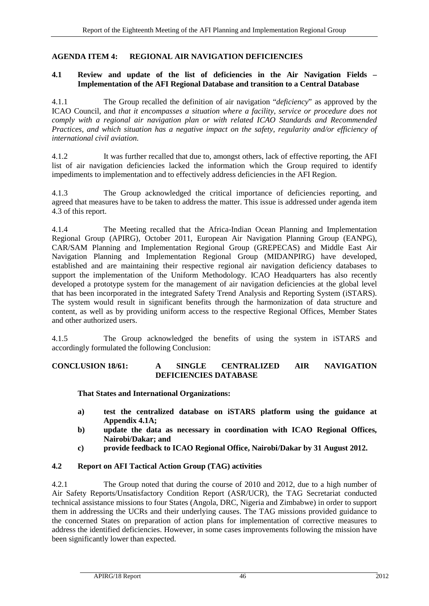### <span id="page-55-0"></span>**AGENDA ITEM 4: REGIONAL AIR NAVIGATION DEFICIENCIES**

#### <span id="page-55-1"></span>**4.1 Review and update of the list of deficiencies in the Air Navigation Fields – Implementation of the AFI Regional Database and transition to a Central Database**

4.1.1 The Group recalled the definition of air navigation "*deficiency*" as approved by the ICAO Council, and *that it encompasses a situation where a facility, service or procedure does not comply with a regional air navigation plan or with related ICAO Standards and Recommended Practices, and which situation has a negative impact on the safety, regularity and/or efficiency of international civil aviation.* 

4.1.2 It was further recalled that due to, amongst others, lack of effective reporting, the AFI list of air navigation deficiencies lacked the information which the Group required to identify impediments to implementation and to effectively address deficiencies in the AFI Region.

4.1.3 The Group acknowledged the critical importance of deficiencies reporting, and agreed that measures have to be taken to address the matter. This issue is addressed under agenda item 4.3 of this report.

4.1.4 The Meeting recalled that the Africa-Indian Ocean Planning and Implementation Regional Group (APIRG), October 2011, European Air Navigation Planning Group (EANPG), CAR/SAM Planning and Implementation Regional Group (GREPECAS) and Middle East Air Navigation Planning and Implementation Regional Group (MIDANPIRG) have developed, established and are maintaining their respective regional air navigation deficiency databases to support the implementation of the Uniform Methodology. ICAO Headquarters has also recently developed a prototype system for the management of air navigation deficiencies at the global level that has been incorporated in the integrated Safety Trend Analysis and Reporting System (iSTARS). The system would result in significant benefits through the harmonization of data structure and content, as well as by providing uniform access to the respective Regional Offices, Member States and other authorized users.

4.1.5 The Group acknowledged the benefits of using the system in iSTARS and accordingly formulated the following Conclusion:

# <span id="page-55-3"></span>**CONCLUSION 18/61: A SINGLE CENTRALIZED AIR NAVIGATION DEFICIENCIES DATABASE**

**That States and International Organizations:** 

- **a) test the centralized database on iSTARS platform using the guidance at Appendix 4.1A;**
- **b) update the data as necessary in coordination with ICAO Regional Offices, Nairobi/Dakar; and**
- **c) provide feedback to ICAO Regional Office, Nairobi/Dakar by 31 August 2012.**

# <span id="page-55-2"></span>**4.2 Report on AFI Tactical Action Group (TAG) activities**

4.2.1 The Group noted that during the course of 2010 and 2012, due to a high number of Air Safety Reports/Unsatisfactory Condition Report (ASR/UCR), the TAG Secretariat conducted technical assistance missions to four States (Angola, DRC, Nigeria and Zimbabwe) in order to support them in addressing the UCRs and their underlying causes. The TAG missions provided guidance to the concerned States on preparation of action plans for implementation of corrective measures to address the identified deficiencies. However, in some cases improvements following the mission have been significantly lower than expected.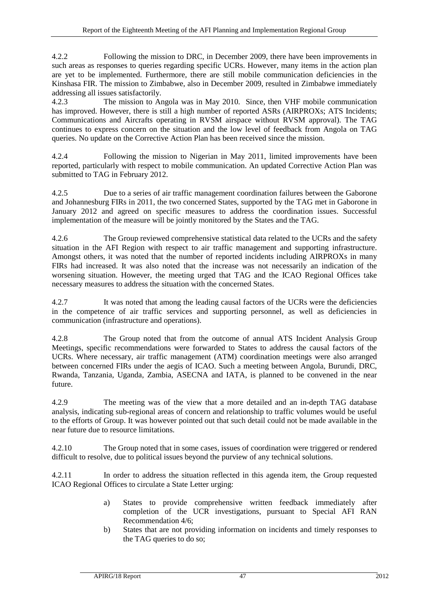4.2.2 Following the mission to DRC, in December 2009, there have been improvements in such areas as responses to queries regarding specific UCRs. However, many items in the action plan are yet to be implemented. Furthermore, there are still mobile communication deficiencies in the Kinshasa FIR. The mission to Zimbabwe, also in December 2009, resulted in Zimbabwe immediately addressing all issues satisfactorily.

4.2.3 The mission to Angola was in May 2010. Since, then VHF mobile communication has improved. However, there is still a high number of reported ASRs (AIRPROXs; ATS Incidents; Communications and Aircrafts operating in RVSM airspace without RVSM approval). The TAG continues to express concern on the situation and the low level of feedback from Angola on TAG queries. No update on the Corrective Action Plan has been received since the mission.

4.2.4 Following the mission to Nigerian in May 2011, limited improvements have been reported, particularly with respect to mobile communication. An updated Corrective Action Plan was submitted to TAG in February 2012.

4.2.5 Due to a series of air traffic management coordination failures between the Gaborone and Johannesburg FIRs in 2011, the two concerned States, supported by the TAG met in Gaborone in January 2012 and agreed on specific measures to address the coordination issues. Successful implementation of the measure will be jointly monitored by the States and the TAG.

4.2.6 The Group reviewed comprehensive statistical data related to the UCRs and the safety situation in the AFI Region with respect to air traffic management and supporting infrastructure. Amongst others, it was noted that the number of reported incidents including AIRPROXs in many FIRs had increased. It was also noted that the increase was not necessarily an indication of the worsening situation. However, the meeting urged that TAG and the ICAO Regional Offices take necessary measures to address the situation with the concerned States.

4.2.7 It was noted that among the leading causal factors of the UCRs were the deficiencies in the competence of air traffic services and supporting personnel, as well as deficiencies in communication (infrastructure and operations).

4.2.8 The Group noted that from the outcome of annual ATS Incident Analysis Group Meetings, specific recommendations were forwarded to States to address the causal factors of the UCRs. Where necessary, air traffic management (ATM) coordination meetings were also arranged between concerned FIRs under the aegis of ICAO. Such a meeting between Angola, Burundi, DRC, Rwanda, Tanzania, Uganda, Zambia, ASECNA and IATA, is planned to be convened in the near future.

4.2.9 The meeting was of the view that a more detailed and an in-depth TAG database analysis, indicating sub-regional areas of concern and relationship to traffic volumes would be useful to the efforts of Group. It was however pointed out that such detail could not be made available in the near future due to resource limitations.

4.2.10 The Group noted that in some cases, issues of coordination were triggered or rendered difficult to resolve, due to political issues beyond the purview of any technical solutions.

4.2.11 In order to address the situation reflected in this agenda item, the Group requested ICAO Regional Offices to circulate a State Letter urging:

- a) States to provide comprehensive written feedback immediately after completion of the UCR investigations, pursuant to Special AFI RAN Recommendation 4/6;
- b) States that are not providing information on incidents and timely responses to the TAG queries to do so;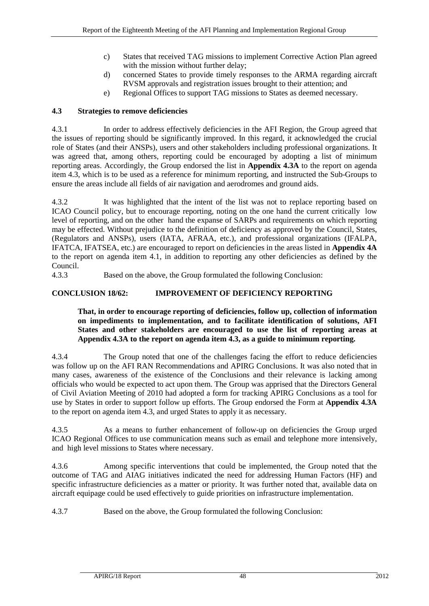- c) States that received TAG missions to implement Corrective Action Plan agreed with the mission without further delay;
- d) concerned States to provide timely responses to the ARMA regarding aircraft RVSM approvals and registration issues brought to their attention; and
- e) Regional Offices to support TAG missions to States as deemed necessary.

# <span id="page-57-0"></span>**4.3 Strategies to remove deficiencies**

4.3.1 In order to address effectively deficiencies in the AFI Region, the Group agreed that the issues of reporting should be significantly improved. In this regard, it acknowledged the crucial role of States (and their ANSPs), users and other stakeholders including professional organizations. It was agreed that, among others, reporting could be encouraged by adopting a list of minimum reporting areas. Accordingly, the Group endorsed the list in **Appendix 4.3A** to the report on agenda item 4.3, which is to be used as a reference for minimum reporting, and instructed the Sub-Groups to ensure the areas include all fields of air navigation and aerodromes and ground aids.

4.3.2 It was highlighted that the intent of the list was not to replace reporting based on ICAO Council policy, but to encourage reporting, noting on the one hand the current critically low level of reporting, and on the other hand the expanse of SARPs and requirements on which reporting may be effected. Without prejudice to the definition of deficiency as approved by the Council, States, (Regulators and ANSPs), users (IATA, AFRAA, etc.), and professional organizations (IFALPA, IFATCA, IFATSEA, etc.) are encouraged to report on deficiencies in the areas listed in **Appendix 4A** to the report on agenda item 4.1, in addition to reporting any other deficiencies as defined by the Council.

4.3.3 Based on the above, the Group formulated the following Conclusion:

# <span id="page-57-1"></span>**CONCLUSION 18/62: IMPROVEMENT OF DEFICIENCY REPORTING**

# **That, in order to encourage reporting of deficiencies, follow up, collection of information on impediments to implementation, and to facilitate identification of solutions, AFI States and other stakeholders are encouraged to use the list of reporting areas at Appendix 4.3A to the report on agenda item 4.3, as a guide to minimum reporting.**

4.3.4 The Group noted that one of the challenges facing the effort to reduce deficiencies was follow up on the AFI RAN Recommendations and APIRG Conclusions. It was also noted that in many cases, awareness of the existence of the Conclusions and their relevance is lacking among officials who would be expected to act upon them. The Group was apprised that the Directors General of Civil Aviation Meeting of 2010 had adopted a form for tracking APIRG Conclusions as a tool for use by States in order to support follow up efforts. The Group endorsed the Form at **Appendix 4.3A** to the report on agenda item 4.3, and urged States to apply it as necessary.

4.3.5 As a means to further enhancement of follow-up on deficiencies the Group urged ICAO Regional Offices to use communication means such as email and telephone more intensively, and high level missions to States where necessary.

4.3.6 Among specific interventions that could be implemented, the Group noted that the outcome of TAG and AIAG initiatives indicated the need for addressing Human Factors (HF) and specific infrastructure deficiencies as a matter or priority. It was further noted that, available data on aircraft equipage could be used effectively to guide priorities on infrastructure implementation.

<span id="page-57-2"></span>4.3.7 Based on the above, the Group formulated the following Conclusion: